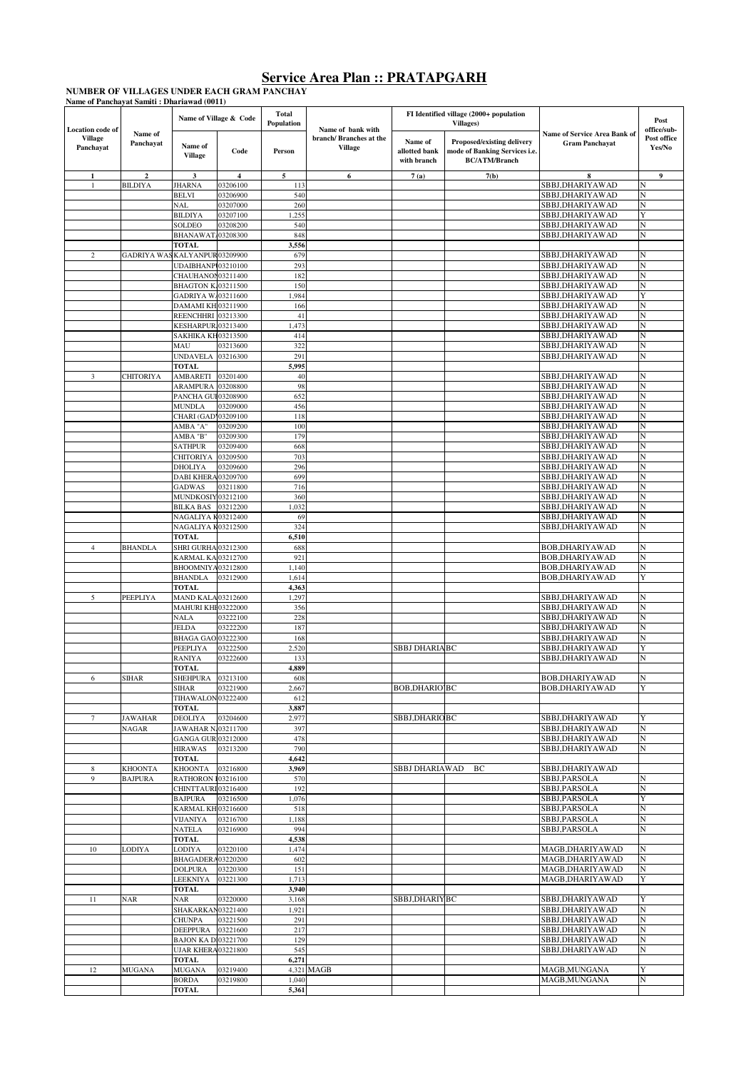NUMBER OF VILLAGES UNDER EACH GRAM PANCHAY<br>Name of Panchayat Samiti : Dhariawad (0011)

|                                                 |                      |                                                         | Name of Village & Code | <b>Total</b><br><b>Population</b> | Name of bank with                         |                                         | FI Identified village (2000+ population<br>Villages)                                |                                                              | Post<br>office/sub-   |
|-------------------------------------------------|----------------------|---------------------------------------------------------|------------------------|-----------------------------------|-------------------------------------------|-----------------------------------------|-------------------------------------------------------------------------------------|--------------------------------------------------------------|-----------------------|
| Location code of<br><b>Village</b><br>Panchayat | Name of<br>Panchayat | Name of<br><b>Village</b>                               | Code                   | Person                            | branch/ Branches at the<br><b>Village</b> | Name of<br>allotted bank<br>with branch | Proposed/existing delivery<br>mode of Banking Services i.e.<br><b>BC/ATM/Branch</b> | <b>Name of Service Area Bank of</b><br><b>Gram Panchayat</b> | Post office<br>Yes/No |
| 1                                               |                      | 3                                                       | 4                      | 5                                 | 6                                         | 7(a)                                    | 7(b)                                                                                | 8<br>SBBJ,DHARIYAWAD                                         | 9                     |
| 1                                               | <b>BILDIYA</b>       | <b>JHARNA</b><br><b>BELVI</b>                           | 03206100<br>03206900   | 113<br>540                        |                                           |                                         |                                                                                     | SBBJ,DHARIYAWAD                                              |                       |
|                                                 |                      | NAL                                                     | 03207000               | 260                               |                                           |                                         |                                                                                     | SBBJ,DHARIYAWAD                                              | N                     |
|                                                 |                      | <b>BILDIYA</b>                                          | 03207100               | 1,255                             |                                           |                                         |                                                                                     | SBBJ,DHARIYAWAD                                              | Y                     |
|                                                 |                      | SOLDEO                                                  | 03208200               | 540                               |                                           |                                         |                                                                                     | SBBJ,DHARIYAWAD                                              |                       |
|                                                 |                      | BHANAWAT/03208300<br><b>TOTAL</b>                       |                        | 848<br>3,556                      |                                           |                                         |                                                                                     | SBBJ,DHARIYAWAD                                              | N                     |
| $\overline{2}$                                  | <b>GADRIYA WA</b>    | KALYANPUR03209900                                       |                        | 679                               |                                           |                                         |                                                                                     | SBBJ, DHARIYAWAD                                             |                       |
|                                                 |                      | UDAIBHANPI03210100                                      |                        | 293                               |                                           |                                         |                                                                                     | SBBJ,DHARIYAWAD                                              | N                     |
|                                                 |                      | CHAUHANON03211400                                       |                        | 182                               |                                           |                                         |                                                                                     | SBBJ,DHARIYAWAD                                              | N                     |
|                                                 |                      | <b>BHAGTON K.03211500</b>                               |                        | 150                               |                                           |                                         |                                                                                     | SBBJ, DHARIYAWAD                                             | N                     |
|                                                 |                      | GADRIYA W.03211600<br>DAMAMI KH 03211900                |                        | 1,984<br>166                      |                                           |                                         |                                                                                     | SBBJ, DHARIYAWAD<br>SBBJ,DHARIYAWAD                          | N                     |
|                                                 |                      | REENCHHRI 03213300                                      |                        | 41                                |                                           |                                         |                                                                                     | SBBJ, DHARIYAWAD                                             | N                     |
|                                                 |                      | KESHARPUR.03213400                                      |                        | 1,473                             |                                           |                                         |                                                                                     | SBBJ, DHARIYAWAD                                             |                       |
|                                                 |                      | SAKHIKA KH03213500                                      |                        | 414                               |                                           |                                         |                                                                                     | SBBJ,DHARIYAWAD                                              |                       |
|                                                 |                      | MAU                                                     | 03213600               | 322                               |                                           |                                         |                                                                                     | SBBJ,DHARIYAWAD                                              | N                     |
|                                                 |                      | <b>UNDAVELA</b>                                         | 03216300               | 291                               |                                           |                                         |                                                                                     | SBBJ,DHARIYAWAD                                              | N                     |
| 3                                               | CHITORIYA            | <b>TOTAL</b><br>AMBARETI                                | 03201400               | 5,995<br>40                       |                                           |                                         |                                                                                     | SBBJ, DHARIYAWAD                                             | N                     |
|                                                 |                      | ARAMPURA                                                | 03208800               | 98                                |                                           |                                         |                                                                                     | SBBJ,DHARIYAWAD                                              |                       |
|                                                 |                      | PANCHA GUI 03208900                                     |                        | 652                               |                                           |                                         |                                                                                     | SBBJ, DHARIYAWAD                                             | N                     |
|                                                 |                      | <b>MUNDLA</b>                                           | 03209000               | 456                               |                                           |                                         |                                                                                     | SBBJ, DHARIYAWAD                                             | N                     |
|                                                 |                      | CHARI (GAD 03209100                                     |                        | 118                               |                                           |                                         |                                                                                     | SBBJ.DHARIYAWAD                                              | N                     |
|                                                 |                      | AMBA "A"<br>AMBA "B"                                    | 03209200<br>03209300   | 100<br>179                        |                                           |                                         |                                                                                     | SBBJ,DHARIYAWAD<br>SBBJ, DHARIYAWAD                          | N<br>N                |
|                                                 |                      | <b>SATHPUR</b>                                          | 03209400               | 668                               |                                           |                                         |                                                                                     | SBBJ,DHARIYAWAD                                              |                       |
|                                                 |                      | <b>CHITORIYA</b>                                        | 03209500               | 703                               |                                           |                                         |                                                                                     | SBBJ, DHARIYAWAD                                             | N                     |
|                                                 |                      | DHOLIYA                                                 | 03209600               | 296                               |                                           |                                         |                                                                                     | SBBJ, DHARIYAWAD                                             |                       |
|                                                 |                      | <b>DABI KHERA</b>                                       | 03209700               | 699                               |                                           |                                         |                                                                                     | SBBJ,DHARIYAWAD                                              |                       |
|                                                 |                      | <b>GADWAS</b>                                           | 03211800               | 716                               |                                           |                                         |                                                                                     | SBBJ,DHARIYAWAD                                              | N                     |
|                                                 |                      | MUNDKOSIY03212100<br><b>BILKA BAS</b>                   | 03212200               | 360<br>1,032                      |                                           |                                         |                                                                                     | SBBJ,DHARIYAWAD<br>SBBJ,DHARIYAWAD                           | N                     |
|                                                 |                      | NAGALIYA K03212400                                      |                        | 69                                |                                           |                                         |                                                                                     | SBBJ, DHARIYAWAD                                             | N                     |
|                                                 |                      | NAGALIYA K03212500                                      |                        | 324                               |                                           |                                         |                                                                                     | SBBJ,DHARIYAWAD                                              | N                     |
|                                                 |                      | <b>TOTAL</b>                                            |                        | 6,510                             |                                           |                                         |                                                                                     |                                                              |                       |
| $\overline{4}$                                  | BHANDLA              | <b>SHRI GURHA 03212300</b>                              |                        | 688                               |                                           |                                         |                                                                                     | <b>BOB, DHARIYAWAD</b>                                       | N                     |
|                                                 |                      | KARMAL KA 03212700                                      |                        | 921                               |                                           |                                         |                                                                                     | <b>BOB,DHARIYAWAD</b>                                        | N<br>N                |
|                                                 |                      | BHOOMNIYA03212800<br><b>BHANDLA</b>                     | 03212900               | 1,140<br>1,614                    |                                           |                                         |                                                                                     | <b>BOB, DHARIYAWAD</b><br>BOB, DHARIYAWAD                    |                       |
|                                                 |                      | <b>TOTAL</b>                                            |                        | 4,363                             |                                           |                                         |                                                                                     |                                                              |                       |
| 5                                               | PEEPLIYA             | <b>MAND KALA 03212600</b>                               |                        | 1,297                             |                                           |                                         |                                                                                     | SBBJ, DHARIYAWAD                                             | N                     |
|                                                 |                      | MAHURI KHE03222000                                      |                        | 356                               |                                           |                                         |                                                                                     | SBBJ,DHARIYAWAD                                              |                       |
|                                                 |                      | <b>NALA</b>                                             | 03222100               | 228                               |                                           |                                         |                                                                                     | SBBJ,DHARIYAWAD                                              | N                     |
|                                                 |                      | JELDA<br>BHAGA GAO 03222300                             | 03222200               | 187<br>168                        |                                           |                                         |                                                                                     | SBBJ,DHARIYAWAD<br>SBBJ,DHARIYAWAD                           | N<br>N                |
|                                                 |                      | PEEPLIYA                                                | 03222500               | 2,520                             |                                           | <b>SBBJ DHARIABC</b>                    |                                                                                     | SBBJ,DHARIYAWAD                                              | v                     |
|                                                 |                      | <b>RANIYA</b>                                           | 03222600               | 133                               |                                           |                                         |                                                                                     | SBBJ.DHARIYAWAD                                              | N                     |
|                                                 |                      | <b>TOTAL</b>                                            |                        | 4,889                             |                                           |                                         |                                                                                     |                                                              |                       |
| 6                                               | <b>SIHAR</b>         | SHEHPURA 03213100                                       |                        | 608                               |                                           |                                         |                                                                                     | <b>BOB, DHARIYAWAD</b>                                       |                       |
|                                                 |                      | SIHAR<br>TIHAWALON03222400                              | 03221900               | 2,667<br>612                      |                                           | BOB, DHARIO BC                          |                                                                                     | BOB, DHARIYAWAD                                              |                       |
|                                                 |                      | <b>TOTAL</b>                                            |                        | 3,887                             |                                           |                                         |                                                                                     |                                                              |                       |
| 7                                               | JAWAHAR              | <b>DEOLIYA</b>                                          | 03204600               | 2,977                             |                                           | SBBJ,DHARIOBC                           |                                                                                     | SBBJ,DHARIYAWAD                                              |                       |
|                                                 | NAGAR                | <b>JAWAHAR N.</b>                                       | 03211700               | 397                               |                                           |                                         |                                                                                     | SBBJ, DHARIYAWAD                                             |                       |
|                                                 |                      | GANGA GUR 03212000                                      |                        | 478                               |                                           |                                         |                                                                                     | SBBJ,DHARIYAWAD                                              | N                     |
|                                                 |                      | <b>HIRAWAS</b><br><b>TOTAL</b>                          | 03213200               | 790<br>4,642                      |                                           |                                         |                                                                                     | SBBJ,DHARIYAWAD                                              | N                     |
| 8                                               | KHOONTA              | <b>KHOONTA</b>                                          | 03216800               | 3,969                             |                                           | SBBJ DHARIAWAD                          | ВC                                                                                  | SBBJ,DHARIYAWAD                                              |                       |
| 9                                               | BAJPURA              | RATHORON 103216100                                      |                        | 570                               |                                           |                                         |                                                                                     | SBBJ,PARSOLA                                                 | N                     |
|                                                 |                      | CHINTTAURI 03216400                                     |                        | 192                               |                                           |                                         |                                                                                     | SBBJ,PARSOLA                                                 | N                     |
|                                                 |                      | <b>BAJPURA</b>                                          | 03216500               | 1,076                             |                                           |                                         |                                                                                     | SBBJ,PARSOLA                                                 | Y                     |
|                                                 |                      | KARMAL KH 03216600<br><b>VIJANIYA</b>                   | 03216700               | 518<br>1,188                      |                                           |                                         |                                                                                     | SBBJ,PARSOLA<br>SBBJ,PARSOLA                                 | $_{\rm N}$<br>N       |
|                                                 |                      | <b>NATELA</b>                                           | 03216900               | 994                               |                                           |                                         |                                                                                     | SBBJ,PARSOLA                                                 | N                     |
|                                                 |                      | <b>TOTAL</b>                                            |                        | 4,538                             |                                           |                                         |                                                                                     |                                                              |                       |
| 10                                              | LODIYA               | LODIYA                                                  | 03220100               | 1,474                             |                                           |                                         |                                                                                     | MAGB, DHARIYAWAD                                             | N                     |
|                                                 |                      | BHAGADERA03220200                                       |                        | 602                               |                                           |                                         |                                                                                     | MAGB, DHARIYAWAD                                             | N                     |
|                                                 |                      | <b>DOLPURA</b><br>LEEKNIYA                              | 03220300<br>03221300   | 151<br>1,713                      |                                           |                                         |                                                                                     | MAGB, DHARIYAWAD<br>MAGB, DHARIYAWAD                         | N<br>Y                |
|                                                 |                      | <b>TOTAL</b>                                            |                        | 3,940                             |                                           |                                         |                                                                                     |                                                              |                       |
| 11                                              | NAR                  | <b>NAR</b>                                              | 03220000               | 3,168                             |                                           | SBBJ,DHARIYBC                           |                                                                                     | SBBJ,DHARIYAWAD                                              | Y                     |
|                                                 |                      | SHAKARKAN03221400                                       |                        | 1,921                             |                                           |                                         |                                                                                     | SBBJ,DHARIYAWAD                                              | N                     |
|                                                 |                      | <b>CHUNPA</b>                                           | 03221500               | 291                               |                                           |                                         |                                                                                     | SBBJ,DHARIYAWAD                                              | N                     |
|                                                 |                      | DEEPPURA                                                | 03221600               | 217                               |                                           |                                         |                                                                                     | SBBJ,DHARIYAWAD                                              | N<br>N                |
|                                                 |                      | <b>BAJON KA D103221700</b><br><b>UJAR KHERA03221800</b> |                        | 129<br>545                        |                                           |                                         |                                                                                     | SBBJ,DHARIYAWAD<br>SBBJ,DHARIYAWAD                           | N                     |
|                                                 |                      | <b>TOTAL</b>                                            |                        | 6,271                             |                                           |                                         |                                                                                     |                                                              |                       |
| 12                                              | MUGANA               | <b>MUGANA</b>                                           | 03219400               |                                   | 4,321 MAGB                                |                                         |                                                                                     | MAGB, MUNGANA                                                |                       |
|                                                 |                      | <b>BORDA</b>                                            | 03219800               | 1,040                             |                                           |                                         |                                                                                     | MAGB, MUNGANA                                                | N                     |
|                                                 |                      | TOTAL                                                   |                        | 5,361                             |                                           |                                         |                                                                                     |                                                              |                       |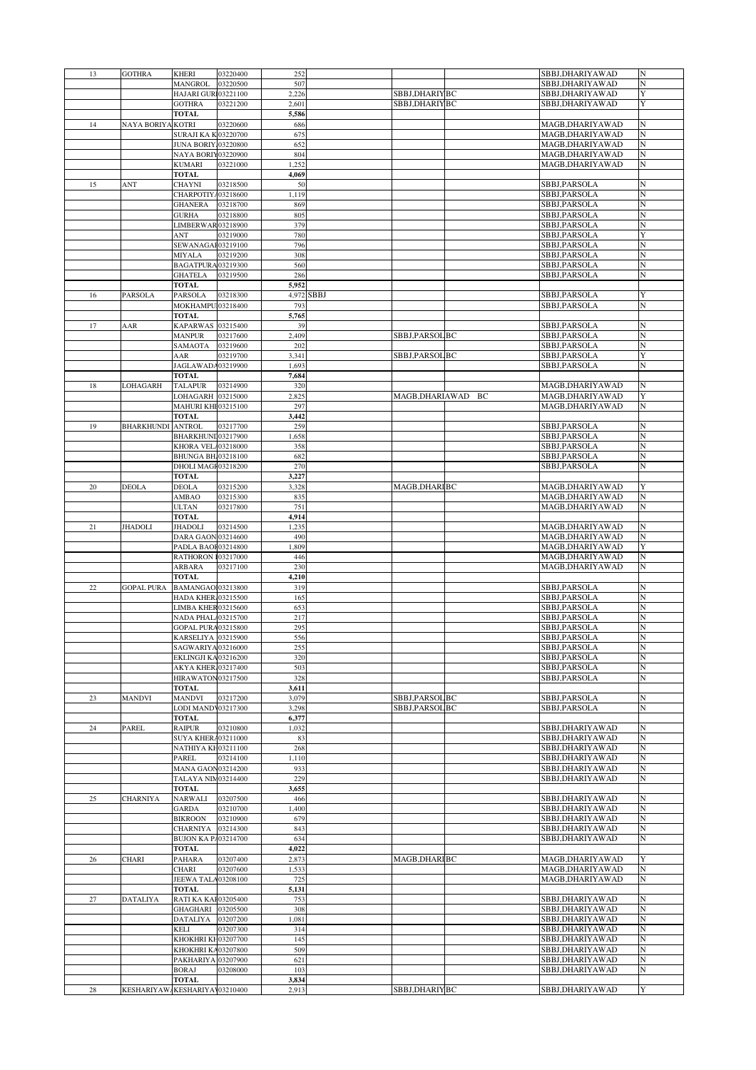| 13          | <b>GOTHRA</b>     | KHERI                              | 03220400 | 252            |            |                |    | SBBJ,DHARIYAWAD  | N |
|-------------|-------------------|------------------------------------|----------|----------------|------------|----------------|----|------------------|---|
|             |                   | MANGROL                            | 03220500 | 507            |            |                |    | SBBJ,DHARIYAWAD  | N |
|             |                   | HAJARI GURI03221100                |          | 2,226          |            | SBBJ,DHARIYBC  |    | SBBJ,DHARIYAWAD  | Y |
|             |                   | <b>GOTHRA</b>                      | 03221200 | 2,601          |            | SBBJ,DHARIYBC  |    | SBBJ,DHARIYAWAD  | Y |
|             |                   | <b>TOTAL</b>                       |          | 5,586          |            |                |    |                  |   |
|             | NAYA BORIYA       | <b>KOTRI</b>                       | 03220600 | 686            |            |                |    | MAGB,DHARIYAWAD  | N |
| 14          |                   |                                    |          | 675            |            |                |    |                  | N |
|             |                   | <b>SURAJI KA K03220700</b>         |          |                |            |                |    | MAGB,DHARIYAWAD  |   |
|             |                   | <b>JUNA BORIY.03220800</b>         |          | 652            |            |                |    | MAGB,DHARIYAWAD  | N |
|             |                   | NAYA BORIY03220900                 |          | 804            |            |                |    | MAGB, DHARIYAWAD | N |
|             |                   | KUMARI                             | 03221000 | 1,252          |            |                |    | MAGB,DHARIYAWAD  | N |
|             |                   | <b>TOTAL</b>                       |          | 4,069          |            |                |    |                  |   |
| 15          | ANT               | CHAYNI                             | 03218500 | 50             |            |                |    | SBBJ,PARSOLA     | N |
|             |                   | CHARPOTIYA03218600                 |          | 1,119          |            |                |    | SBBJ,PARSOLA     | N |
|             |                   | <b>GHANERA</b>                     | 03218700 | 869            |            |                |    | SBBJ,PARSOLA     | N |
|             |                   | <b>GURHA</b>                       | 03218800 | 805            |            |                |    | SBBJ,PARSOLA     | N |
|             |                   | LIMBERWAR03218900                  |          | 379            |            |                |    | SBBJ,PARSOLA     | N |
|             |                   | ۹NT                                | 03219000 | 780            |            |                |    | SBBJ,PARSOLA     | Y |
|             |                   | SEWANAGAF03219100                  |          | 796            |            |                |    | SBBJ,PARSOLA     | N |
|             |                   | MIYALA                             | 03219200 | 308            |            |                |    | SBBJ,PARSOLA     | N |
|             |                   | BAGATPURA 03219300                 |          | 560            |            |                |    | SBBJ,PARSOLA     | N |
|             |                   | <b>GHATELA</b>                     | 03219500 | 286            |            |                |    | SBBJ,PARSOLA     | N |
|             |                   | <b>TOTAL</b>                       |          | 5,952          |            |                |    |                  |   |
| 16          | PARSOLA           | PARSOLA                            | 03218300 |                | 4,972 SBBJ |                |    | SBBJ,PARSOLA     | Y |
|             |                   | MOKHAMPU103218400                  |          | 793            |            |                |    | SBBJ,PARSOLA     | N |
|             |                   | <b>TOTAL</b>                       |          | 5,765          |            |                |    |                  |   |
| 17          | AAR               | KAPARWAS 03215400                  |          | 39             |            |                |    | SBBJ,PARSOLA     | N |
|             |                   | MANPUR                             | 03217600 | 2,409          |            | SBBJ,PARSOL BC |    | SBBJ,PARSOLA     | N |
|             |                   | SAMAOTA                            | 03219600 | 202            |            |                |    | SBBJ,PARSOLA     | N |
|             |                   | AAR                                | 03219700 | 3,341          |            | SBBJ,PARSOL BC |    | SBBJ,PARSOLA     | Y |
|             |                   |                                    |          |                |            |                |    |                  | N |
|             |                   | JAGLAWADA03219900                  |          | 1,693          |            |                |    | SBBJ,PARSOLA     |   |
|             |                   | <b>TOTAL</b>                       |          | 7,684          |            |                |    |                  |   |
| 18          | LOHAGARH          | <b>TALAPUR</b>                     | 03214900 | 320            |            |                |    | MAGB,DHARIYAWAD  | N |
|             |                   | LOHAGARH 03215000                  |          | 2,825          |            | MAGB,DHARIAWAD | ВC | MAGB,DHARIYAWAD  | Y |
|             |                   | <b>MAHURI KHE03215100</b>          |          | 297            |            |                |    | MAGB,DHARIYAWAD  | N |
|             |                   | <b>TOTAL</b>                       |          | 3,442          |            |                |    |                  |   |
| 19          | BHARKHUNDI ANTROL |                                    | 03217700 | 259            |            |                |    | SBBJ,PARSOLA     | N |
|             |                   | BHARKHUNI 03217900                 |          | 1,658          |            |                |    | SBBJ,PARSOLA     | N |
|             |                   | KHORA VEL/03218000                 |          | 358            |            |                |    | SBBJ,PARSOLA     | N |
|             |                   | BHUNGA BH 03218100                 |          | 682            |            |                |    | SBBJ,PARSOLA     | N |
|             |                   | DHOLI MAGF03218200                 |          | 270            |            |                |    | SBBJ,PARSOLA     | N |
|             |                   | <b>TOTAL</b>                       |          | 3,227          |            |                |    |                  |   |
| 20          | DEOLA             | DEOLA                              | 03215200 | 3,328          |            | MAGB,DHARIBC   |    | MAGB,DHARIYAWAD  | Y |
|             |                   | AMBAO                              | 03215300 | 835            |            |                |    | MAGB, DHARIYAWAD | N |
|             |                   | ULTAN                              | 03217800 | 751            |            |                |    | MAGB,DHARIYAWAD  | N |
|             |                   | <b>TOTAL</b>                       |          | 4,914          |            |                |    |                  |   |
| 21          | JHADOLI           | JHADOLI                            | 03214500 | 1,235          |            |                |    | MAGB,DHARIYAWAD  | N |
|             |                   | DARA GAON 03214600                 |          | 490            |            |                |    | MAGB, DHARIYAWAD | N |
|             |                   | PADLA BAOF03214800                 |          | 1,809          |            |                |    | MAGB, DHARIYAWAD | Y |
|             |                   | RATHORON 103217000                 |          | 446            |            |                |    | MAGB,DHARIYAWAD  | N |
|             |                   | ARBARA                             | 03217100 | 230            |            |                |    | MAGB,DHARIYAWAD  | N |
|             |                   | <b>TOTAL</b>                       |          |                |            |                |    |                  |   |
| 22          |                   | BAMANGAO103213800                  |          | 4,210          |            |                |    | SBBJ,PARSOLA     | N |
|             | GOPAL PURA        |                                    |          | 319            |            |                |    |                  |   |
|             |                   | HADA KHER 03215500                 |          | 165            |            |                |    | SBBJ,PARSOLA     | N |
|             |                   | LIMBA KHER03215600                 |          | 653            |            |                |    | SBBJ,PARSOLA     | N |
|             |                   | NADA PHAL 03215700                 |          | 217            |            |                |    | SBBJ,PARSOLA     | N |
|             |                   | GOPAL PURA03215800                 |          | 295            |            |                |    | SBBJ.PARSOLA     | N |
|             |                   | KARSELIYA 03215900                 |          | 556            |            |                |    | SBBJ,PARSOLA     | N |
|             |                   | SAGWARIYA03216000                  |          | 255            |            |                |    | SBBJ,PARSOLA     | N |
|             |                   | EKLINGJI KA03216200                |          | 320            |            |                |    | SBBJ,PARSOLA     | N |
|             |                   | <b>AKYA KHER</b> 03217400          |          | 503            |            |                |    | SBBJ,PARSOLA     | N |
|             |                   | HIRAWATON03217500                  |          | 328            |            |                |    | SBBJ,PARSOLA     | N |
|             |                   | <b>TOTAL</b>                       |          | 3,611          |            |                |    |                  |   |
| 23          | MANDVI            | MANDVI                             | 03217200 | 3,079          |            | SBBJ,PARSOL BC |    | SBBJ,PARSOLA     | N |
|             |                   | LODI MAND 03217300                 |          | 3,298          |            | SBBJ,PARSOL BC |    | SBBJ,PARSOLA     | N |
|             |                   | <b>TOTAL</b>                       |          | 6,377          |            |                |    |                  |   |
| 24          | PAREL             | RAIPUR                             | 03210800 | 1,032          |            |                |    | SBBJ,DHARIYAWAD  | N |
|             |                   | <b>SUYA KHERA03211000</b>          |          | 83             |            |                |    | SBBJ,DHARIYAWAD  | N |
|             |                   | NATHIYA KH03211100                 |          | 268            |            |                |    | SBBJ,DHARIYAWAD  | N |
|             |                   | PAREL                              | 03214100 | 1,110          |            |                |    | SBBJ,DHARIYAWAD  | N |
|             |                   | <b>MANA GAON03214200</b>           |          | 933            |            |                |    | SBBJ,DHARIYAWAD  | N |
|             |                   | TALAYA NIM03214400                 |          | 229            |            |                |    | SBBJ,DHARIYAWAD  | N |
|             |                   | <b>TOTAL</b>                       |          | 3,655          |            |                |    |                  |   |
| 25          | <b>CHARNIYA</b>   | NARWALI                            | 03207500 | 466            |            |                |    | SBBJ,DHARIYAWAD  | N |
|             |                   | <b>GARDA</b>                       | 03210700 | 1,400          |            |                |    | SBBJ,DHARIYAWAD  | N |
|             |                   | <b>BIKROON</b>                     | 03210900 | 679            |            |                |    | SBBJ,DHARIYAWAD  | N |
|             |                   | CHARNIYA                           | 03214300 | 843            |            |                |    | SBBJ,DHARIYAWAD  | N |
|             |                   | <b>BUJON KA PA03214700</b>         |          | 634            |            |                |    | SBBJ,DHARIYAWAD  | N |
|             |                   | TOTAL                              |          | 4,022          |            |                |    |                  |   |
| 26          | <b>CHARI</b>      | PAHARA                             | 03207400 | 2,873          |            | MAGB, DHARIBC  |    | MAGB, DHARIYAWAD | Y |
|             |                   | CHARI                              | 03207600 | 1,533          |            |                |    | MAGB, DHARIYAWAD | N |
|             |                   | JEEWA TALA03208100                 |          | 725            |            |                |    | MAGB,DHARIYAWAD  | N |
|             |                   | TOTAL                              |          | 5,131          |            |                |    |                  |   |
| 27          | DATALIYA          | RATI KA KAI 03205400               |          | 753            |            |                |    | SBBJ,DHARIYAWAD  | N |
|             |                   | GHAGHARI                           | 03205500 | 308            |            |                |    | SBBJ, DHARIYAWAD | N |
|             |                   | <b>DATALIYA</b>                    | 03207200 | 1,081          |            |                |    | SBBJ,DHARIYAWAD  | N |
|             |                   |                                    | 03207300 | 314            |            |                |    | SBBJ,DHARIYAWAD  | N |
|             |                   |                                    |          |                |            |                |    |                  |   |
|             |                   | KELI                               |          |                |            |                |    |                  |   |
|             |                   | KHOKHRI KH03207700                 |          | 145            |            |                |    | SBBJ,DHARIYAWAD  | N |
|             |                   | KHOKHRI KA03207800                 |          | 509            |            |                |    | SBBJ,DHARIYAWAD  | N |
|             |                   | PAKHARIYA 03207900                 |          | 621            |            |                |    | SBBJ, DHARIYAWAD | N |
|             |                   | <b>BORAJ</b>                       | 03208000 | 103            |            |                |    | SBBJ,DHARIYAWAD  | N |
| $\sqrt{28}$ | <b>KESHARIYAW</b> | <b>TOTAL</b><br>KESHARIYAV03210400 |          | 3,834<br>2,913 |            | SBBJ,DHARIYBC  |    | SBBJ,DHARIYAWAD  | Y |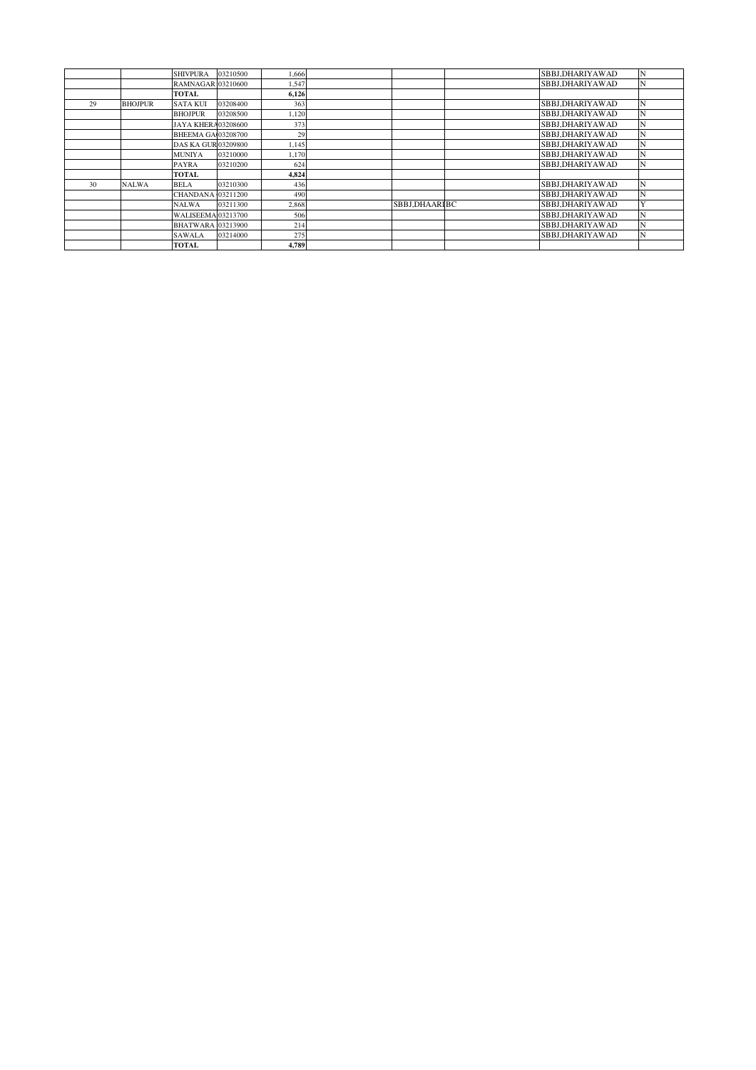|    |                | <b>SHIVPURA</b>            | 03210500 | 1,666 |               | SBBJ,DHARIYAWAD | N |
|----|----------------|----------------------------|----------|-------|---------------|-----------------|---|
|    |                | <b>RAMNAGAR 03210600</b>   |          | 1.547 |               | SBBJ,DHARIYAWAD | N |
|    |                | <b>TOTAL</b>               |          | 6,126 |               |                 |   |
| 29 | <b>BHOJPUR</b> | <b>SATA KUI</b>            | 03208400 | 363   |               | SBBJ.DHARIYAWAD | N |
|    |                | <b>BHOJPUR</b>             | 03208500 | 1,120 |               | SBBJ.DHARIYAWAD | N |
|    |                | JAYA KHERA03208600         |          | 373   |               | SBBJ,DHARIYAWAD | N |
|    |                | <b>BHEEMA GA 03208700</b>  |          | 29    |               | SBBJ.DHARIYAWAD | N |
|    |                | <b>DAS KA GUR 03209800</b> |          | 1,145 |               | SBBJ.DHARIYAWAD | N |
|    |                | <b>MUNIYA</b>              | 03210000 | 1.170 |               | SBBJ,DHARIYAWAD | N |
|    |                | PAYRA                      | 03210200 | 624   |               | SBBJ.DHARIYAWAD | N |
|    |                | <b>TOTAL</b>               |          | 4,824 |               |                 |   |
| 30 | <b>NALWA</b>   | <b>BELA</b>                | 03210300 | 436   |               | SBBJ,DHARIYAWAD | N |
|    |                | <b>CHANDANA</b> 03211200   |          | 490   |               | SBBJ.DHARIYAWAD | N |
|    |                | <b>NALWA</b>               | 03211300 | 2.868 | SBBJ.DHAARIBC | SBBJ.DHARIYAWAD |   |
|    |                | <b>WALISEEMA 03213700</b>  |          | 506   |               | SBBJ.DHARIYAWAD | N |
|    |                | <b>BHATWARA 03213900</b>   |          | 214   |               | SBBJ.DHARIYAWAD | N |
|    |                | <b>SAWALA</b>              | 03214000 | 275   |               | SBBJ.DHARIYAWAD | N |
|    |                | <b>TOTAL</b>               |          | 4,789 |               |                 |   |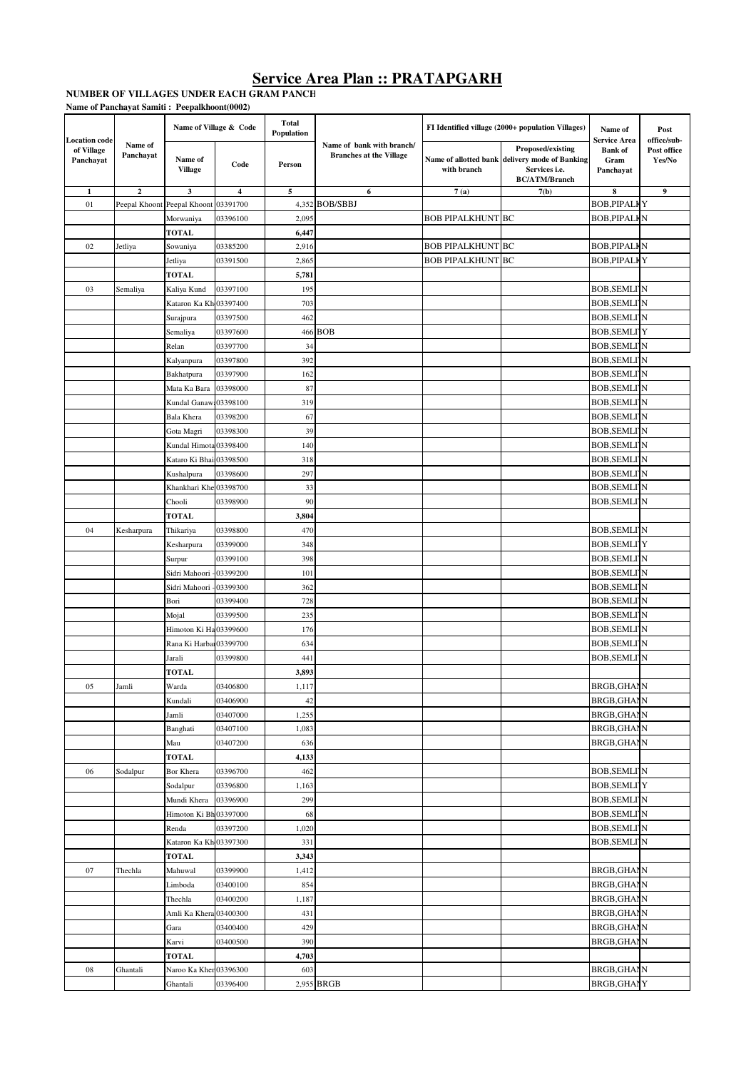NUMBER OF VILLAGES UNDER EACH GRAM PANCH **Name of Panchayat Samiti : Peepalkhoont(0002)**

| <b>Location</b> code    |                      |                           | Name of Village & Code  | <b>Total</b><br><b>Population</b> |                                                             |                          | FI Identified village (2000+ population Villages)                                                            | Name of<br><b>Service Area</b>      | Post<br>office/sub-   |
|-------------------------|----------------------|---------------------------|-------------------------|-----------------------------------|-------------------------------------------------------------|--------------------------|--------------------------------------------------------------------------------------------------------------|-------------------------------------|-----------------------|
| of Village<br>Panchayat | Name of<br>Panchayat | Name of<br><b>Village</b> | Code                    | Person                            | Name of bank with branch/<br><b>Branches at the Village</b> | with branch              | Proposed/existing<br>Name of allotted bank delivery mode of Banking<br>Services i.e.<br><b>BC/ATM/Branch</b> | <b>Bank</b> of<br>Gram<br>Panchayat | Post office<br>Yes/No |
| 1                       | $\overline{2}$       | 3                         | $\overline{\mathbf{4}}$ | 5                                 | 6                                                           | 7(a)                     | 7(b)                                                                                                         | 8                                   | $\boldsymbol{9}$      |
| 01                      | Peepal Khoont        | Peepal Khoont             | 03391700                |                                   | 4,352 BOB/SBBJ                                              |                          |                                                                                                              | <b>BOB, PIPALKY</b>                 |                       |
|                         |                      | Morwaniya                 | 03396100                | 2,095                             |                                                             | <b>BOB PIPALKHUNT BC</b> |                                                                                                              | <b>BOB, PIPALKN</b>                 |                       |
|                         |                      | TOTAL                     |                         | 6,447                             |                                                             |                          |                                                                                                              |                                     |                       |
| 02                      | Jetliya              | Sowaniya                  | 03385200                | 2,916                             |                                                             | <b>BOB PIPALKHUNT BC</b> |                                                                                                              | <b>BOB, PIPALKN</b>                 |                       |
|                         |                      | Jetliya                   | 03391500                | 2,865                             |                                                             | BOB PIPALKHUNT BC        |                                                                                                              | <b>BOB, PIPALKY</b>                 |                       |
|                         |                      | <b>TOTAL</b>              |                         | 5,781                             |                                                             |                          |                                                                                                              |                                     |                       |
| 03                      | Semaliya             | Kaliya Kund               | 03397100                | 195                               |                                                             |                          |                                                                                                              | <b>BOB, SEMLI N</b>                 |                       |
|                         |                      | Kataron Ka Kh 03397400    |                         | 703                               |                                                             |                          |                                                                                                              | <b>BOB, SEMLI'N</b>                 |                       |
|                         |                      | Surajpura                 | 03397500                | 462                               |                                                             |                          |                                                                                                              | <b>BOB, SEMLI'N</b>                 |                       |
|                         |                      | Semaliya                  | 03397600                |                                   | 466 BOB                                                     |                          |                                                                                                              | <b>BOB, SEMLI'Y</b>                 |                       |
|                         |                      | Relan                     | 03397700                | 34                                |                                                             |                          |                                                                                                              | <b>BOB, SEMLI'N</b>                 |                       |
|                         |                      | Kalyanpura                | 03397800                | 392                               |                                                             |                          |                                                                                                              | <b>BOB, SEMLI'N</b>                 |                       |
|                         |                      | Bakhatpura                | 03397900                | 162                               |                                                             |                          |                                                                                                              | <b>BOB, SEMLI'N</b>                 |                       |
|                         |                      | Mata Ka Bara              | 03398000                | 87                                |                                                             |                          |                                                                                                              | <b>BOB, SEMLI'N</b>                 |                       |
|                         |                      | Kundal Ganaw              | 03398100                | 319                               |                                                             |                          |                                                                                                              | <b>BOB, SEMLI'N</b>                 |                       |
|                         |                      | <b>Bala Khera</b>         | 03398200                | 67                                |                                                             |                          |                                                                                                              | <b>BOB, SEMLI'N</b>                 |                       |
|                         |                      | Gota Magri                | 03398300                | 39                                |                                                             |                          |                                                                                                              | <b>BOB, SEMLI'N</b>                 |                       |
|                         |                      | Kundal Himota 03398400    |                         | 140                               |                                                             |                          |                                                                                                              | <b>BOB, SEMLI'N</b>                 |                       |
|                         |                      | Kataro Ki Bhai            | 03398500                | 318                               |                                                             |                          |                                                                                                              | <b>BOB, SEMLI'N</b>                 |                       |
|                         |                      | Kushalpura                | 03398600                | 297                               |                                                             |                          |                                                                                                              | <b>BOB, SEMLI'N</b>                 |                       |
|                         |                      | Khankhari Khe 03398700    |                         | 33                                |                                                             |                          |                                                                                                              | <b>BOB, SEMLI'N</b>                 |                       |
|                         |                      | Chooli                    | 03398900                | 90                                |                                                             |                          |                                                                                                              | <b>BOB, SEMLI'N</b>                 |                       |
|                         |                      | TOTAL                     |                         | 3,804                             |                                                             |                          |                                                                                                              |                                     |                       |
| 04                      | Kesharpura           | Thikariya                 | 03398800                | 470                               |                                                             |                          |                                                                                                              | <b>BOB, SEMLI'N</b>                 |                       |
|                         |                      | Kesharpura                | 03399000                | 348                               |                                                             |                          |                                                                                                              | <b>BOB, SEMLITY</b>                 |                       |
|                         |                      | Surpur                    | 03399100                | 398                               |                                                             |                          |                                                                                                              | <b>BOB, SEMLI'N</b>                 |                       |
|                         |                      | Sidri Mahoori             | 03399200                | 101                               |                                                             |                          |                                                                                                              | <b>BOB, SEMLI N</b>                 |                       |
|                         |                      | Sidri Mahoori             | 03399300                | 362                               |                                                             |                          |                                                                                                              | <b>BOB, SEMLI'N</b>                 |                       |
|                         |                      | Bori                      | 03399400                | 728                               |                                                             |                          |                                                                                                              | <b>BOB, SEMLI'N</b>                 |                       |
|                         |                      | Mojal                     | 03399500                | 235                               |                                                             |                          |                                                                                                              | <b>BOB, SEMLI'N</b>                 |                       |
|                         |                      | Himoton Ki Ha03399600     |                         | 176                               |                                                             |                          |                                                                                                              | <b>BOB, SEMLI'N</b>                 |                       |
|                         |                      | Rana Ki Harbar03399700    |                         | 634                               |                                                             |                          |                                                                                                              | <b>BOB, SEMLI'N</b>                 |                       |
|                         |                      | Jarali                    | 03399800                | 441                               |                                                             |                          |                                                                                                              | <b>BOB, SEMLI'N</b>                 |                       |
|                         |                      | TOTAL                     |                         | 3,893                             |                                                             |                          |                                                                                                              |                                     |                       |
| 05                      | Jamli                | Warda                     | 03406800                | 1,117                             |                                                             |                          |                                                                                                              | <b>BRGB, GHANN</b>                  |                       |
|                         |                      | Kundali                   | 03406900                | 42                                |                                                             |                          |                                                                                                              | <b>BRGB, GHANN</b>                  |                       |
|                         |                      | Jamli                     | 03407000                | 1,255                             |                                                             |                          |                                                                                                              | <b>BRGB, GHANN</b>                  |                       |
|                         |                      | Banghati                  | 03407100                | 1,083                             |                                                             |                          |                                                                                                              | <b>BRGB, GHANN</b>                  |                       |
|                         |                      | Mau                       | 03407200                | 636                               |                                                             |                          |                                                                                                              | <b>BRGB, GHANN</b>                  |                       |
|                         |                      | <b>TOTAL</b>              |                         | 4,133                             |                                                             |                          |                                                                                                              |                                     |                       |
| 06                      | Sodalpur             | Bor Khera                 | 03396700                | 462                               |                                                             |                          |                                                                                                              | <b>BOB, SEMLI N</b>                 |                       |
|                         |                      | Sodalpur                  | 03396800                | 1,163                             |                                                             |                          |                                                                                                              | <b>BOB, SEMLITY</b>                 |                       |
|                         |                      | Mundi Khera               | 03396900                | 299                               |                                                             |                          |                                                                                                              | <b>BOB, SEMLI N</b>                 |                       |
|                         |                      | Himoton Ki Bh 03397000    |                         | 68                                |                                                             |                          |                                                                                                              | <b>BOB, SEMLI'N</b>                 |                       |
|                         |                      | Renda                     | 03397200                | 1,020                             |                                                             |                          |                                                                                                              | <b>BOB, SEMLI'N</b>                 |                       |
|                         |                      | Kataron Ka Kh 03397300    |                         | 331                               |                                                             |                          |                                                                                                              | <b>BOB, SEMLI'N</b>                 |                       |
|                         |                      | TOTAL                     |                         | 3,343                             |                                                             |                          |                                                                                                              |                                     |                       |
| 07                      | Thechla              | Mahuwal                   | 03399900                | 1,412                             |                                                             |                          |                                                                                                              | <b>BRGB, GHANN</b>                  |                       |
|                         |                      | Limboda                   | 03400100                | 854                               |                                                             |                          |                                                                                                              | <b>BRGB,GHANN</b>                   |                       |
|                         |                      | Thechla                   | 03400200                | 1,187                             |                                                             |                          |                                                                                                              | <b>BRGB,GHANN</b>                   |                       |
|                         |                      | Amli Ka Khera 03400300    |                         | 431                               |                                                             |                          |                                                                                                              | <b>BRGB, GHANN</b>                  |                       |
|                         |                      | Gara                      | 03400400                | 429                               |                                                             |                          |                                                                                                              | <b>BRGB, GHANN</b>                  |                       |
|                         |                      | Karvi                     | 03400500                | 390                               |                                                             |                          |                                                                                                              | <b>BRGB, GHANN</b>                  |                       |
|                         |                      | TOTAL                     |                         | 4,703                             |                                                             |                          |                                                                                                              |                                     |                       |
| 08                      | Ghantali             | Naroo Ka Kher             | 03396300                | 603                               |                                                             |                          |                                                                                                              | <b>BRGB, GHANN</b>                  |                       |
|                         |                      | Ghantali                  | 03396400                |                                   | 2,955 BRGB                                                  |                          |                                                                                                              | <b>BRGB, GHANY</b>                  |                       |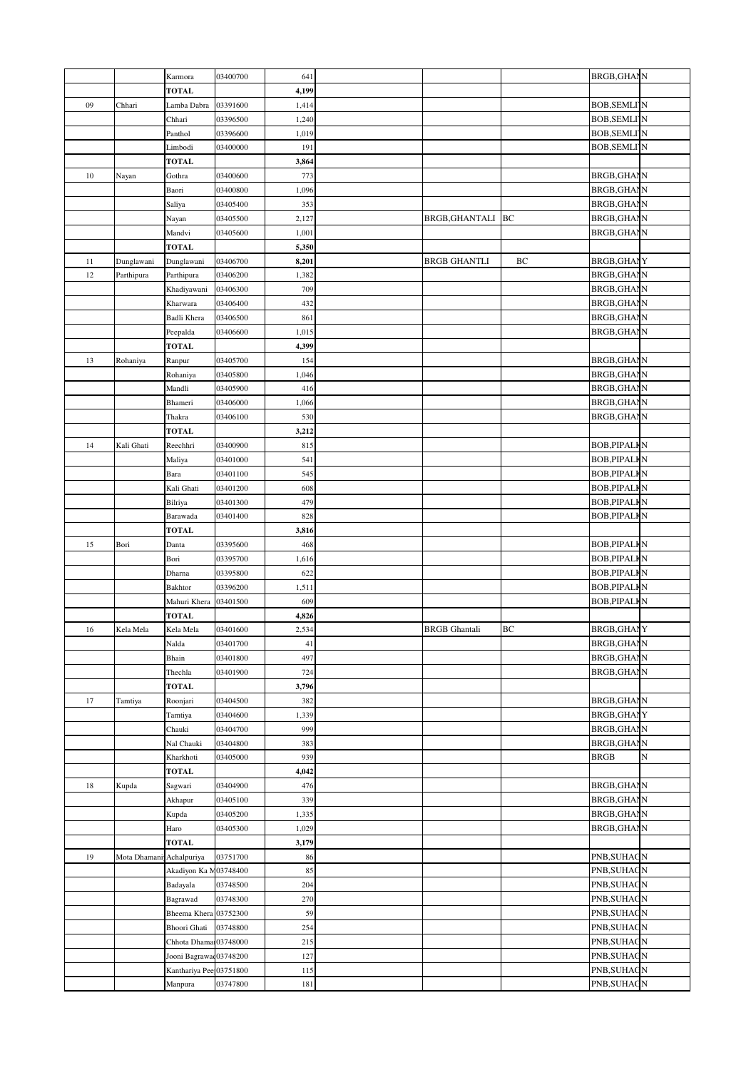|    |                          | Karmora                 | 03400700             | 641            |                      |    | <b>BRGB, GHANN</b>                         |   |
|----|--------------------------|-------------------------|----------------------|----------------|----------------------|----|--------------------------------------------|---|
|    |                          | <b>TOTAL</b>            |                      | 4,199          |                      |    |                                            |   |
| 09 | Chhari                   | Lamba Dabra             | 03391600             | 1,414          |                      |    | <b>BOB, SEMLI'N</b>                        |   |
|    |                          | Chhari                  | 03396500             | 1,240          |                      |    | <b>BOB, SEMLI'N</b>                        |   |
|    |                          | Panthol                 | 03396600             | 1,019          |                      |    | <b>BOB, SEMLI'N</b>                        |   |
|    |                          | Limbodi                 | 03400000             | 191            |                      |    | <b>BOB, SEMLI'N</b>                        |   |
|    |                          | <b>TOTAL</b>            |                      | 3,864          |                      |    |                                            |   |
| 10 | Nayan                    | Gothra                  | 03400600             | 773            |                      |    | <b>BRGB,GHANN</b>                          |   |
|    |                          | Baori                   | 03400800             | 1,096          |                      |    | <b>BRGB, GHANN</b>                         |   |
|    |                          | Saliya                  | 03405400             | 353            |                      |    | <b>BRGB,GHANN</b>                          |   |
|    |                          | Nayan                   | 03405500             | 2,127          | BRGB, GHANTALI BC    |    | <b>BRGB, GHANN</b>                         |   |
|    |                          | Mandvi                  | 03405600             | 1,001          |                      |    | <b>BRGB, GHANN</b>                         |   |
|    |                          | <b>TOTAL</b>            |                      | 5,350          |                      |    |                                            |   |
| 11 | Dunglawani               | Dunglawani              | 03406700             | 8,201          | <b>BRGB GHANTLI</b>  | BC | <b>BRGB, GHANY</b>                         |   |
| 12 | Parthipura               | Parthipura              | 03406200             | 1,382          |                      |    | <b>BRGB, GHANN</b>                         |   |
|    |                          | Khadiyawani             | 03406300             | 709            |                      |    | <b>BRGB,GHANN</b>                          |   |
|    |                          | Kharwara                | 03406400             | 432            |                      |    | <b>BRGB,GHANN</b>                          |   |
|    |                          | Badli Khera             | 03406500             | 861            |                      |    | <b>BRGB, GHANN</b>                         |   |
|    |                          | Peepalda                | 03406600             | 1,015          |                      |    | <b>BRGB, GHANN</b>                         |   |
|    |                          | TOTAL                   |                      | 4,399          |                      |    |                                            |   |
| 13 | Rohaniya                 | Ranpur                  | 03405700             | 154            |                      |    | <b>BRGB, GHANN</b>                         |   |
|    |                          | Rohaniya                | 03405800             | 1,046          |                      |    | BRGB, GHANN                                |   |
|    |                          | Mandli                  | 03405900             | 416            |                      |    | <b>BRGB,GHANN</b>                          |   |
|    |                          | Bhameri                 | 03406000             | 1,066          |                      |    | <b>BRGB, GHANN</b>                         |   |
|    |                          | Thakra                  | 03406100             | 530            |                      |    | <b>BRGB, GHANN</b>                         |   |
|    |                          | <b>TOTAL</b>            |                      | 3,212          |                      |    |                                            |   |
| 14 | Kali Ghati               | Reechhri                | 03400900<br>03401000 | 815            |                      |    | <b>BOB, PIPALKN</b><br><b>BOB, PIPALKN</b> |   |
|    |                          | Maliya                  | 03401100             | 541<br>545     |                      |    | <b>BOB, PIPALKN</b>                        |   |
|    |                          | Bara<br>Kali Ghati      | 03401200             | 608            |                      |    | <b>BOB, PIPALKN</b>                        |   |
|    |                          | Bilriya                 | 03401300             | 479            |                      |    | <b>BOB, PIPALKN</b>                        |   |
|    |                          | Barawada                | 03401400             | 828            |                      |    | <b>BOB, PIPALKN</b>                        |   |
|    |                          | <b>TOTAL</b>            |                      | 3,816          |                      |    |                                            |   |
| 15 | Bori                     | Danta                   | 03395600             | 468            |                      |    | <b>BOB, PIPALKN</b>                        |   |
|    |                          | Bori                    | 03395700             | 1,616          |                      |    | <b>BOB, PIPALKN</b>                        |   |
|    |                          | Dharna                  | 03395800             | 622            |                      |    | <b>BOB, PIPALKN</b>                        |   |
|    |                          | Bakhtor                 | 03396200             | 1,511          |                      |    | <b>BOB, PIPALKN</b>                        |   |
|    |                          | Mahuri Khera            | 03401500             | 609            |                      |    | <b>BOB, PIPALKN</b>                        |   |
|    |                          | <b>TOTAL</b>            |                      | 4,826          |                      |    |                                            |   |
| 16 | Kela Mela                | Kela Mela               | 03401600             | 2,534          | <b>BRGB</b> Ghantali | BC | <b>BRGB, GHANY</b>                         |   |
|    |                          | Nalda                   | 03401700             | 41             |                      |    | <b>BRGB, GHANN</b>                         |   |
|    |                          | Bhain                   | 03401800             | 497            |                      |    | <b>BRGB, GHANN</b>                         |   |
|    |                          | Thechla                 | 03401900             | 724            |                      |    | <b>BRGB, GHANN</b>                         |   |
|    |                          | TOTAL                   |                      | 3,796          |                      |    |                                            |   |
| 17 | Tamtiya                  | Roonjari                | 03404500             | 382            |                      |    | <b>BRGB,GHANN</b>                          |   |
|    |                          | Tamtiya                 | 03404600             | 1,339          |                      |    | <b>BRGB, GHANY</b>                         |   |
|    |                          | Chauki                  | 03404700             | 999            |                      |    | <b>BRGB, GHANN</b>                         |   |
|    |                          | Nal Chauki              | 03404800             | 383            |                      |    | <b>BRGB, GHANN</b>                         |   |
|    |                          | Kharkhoti               | 03405000             | 939            |                      |    | <b>BRGB</b>                                | N |
|    |                          | <b>TOTAL</b>            |                      | 4,042          |                      |    |                                            |   |
| 18 | Kupda                    | Sagwari                 | 03404900             | 476            |                      |    | <b>BRGB, GHANN</b>                         |   |
|    |                          | Akhapur                 | 03405100             | 339            |                      |    | <b>BRGB, GHANN</b>                         |   |
|    |                          | Kupda                   | 03405200             | 1,335          |                      |    | <b>BRGB, GHANN</b>                         |   |
|    |                          | Haro<br><b>TOTAL</b>    | 03405300             | 1,029<br>3,179 |                      |    | <b>BRGB, GHANN</b>                         |   |
| 19 | Mota Dhamani Achalpuriya |                         | 03751700             | 86             |                      |    | PNB, SUHAGN                                |   |
|    |                          | Akadiyon Ka N03748400   |                      | 85             |                      |    | PNB, SUHAGN                                |   |
|    |                          | Badayala                | 03748500             | 204            |                      |    | PNB, SUHAGN                                |   |
|    |                          | Bagrawad                | 03748300             | 270            |                      |    | PNB, SUHAGN                                |   |
|    |                          | Bheema Khera 03752300   |                      | 59             |                      |    | PNB, SUHAGN                                |   |
|    |                          | Bhoori Ghati            | 03748800             | 254            |                      |    | PNB, SUHAGN                                |   |
|    |                          | Chhota Dhamai 03748000  |                      | 215            |                      |    | PNB, SUHAGN                                |   |
|    |                          | Jooni Bagrawa 03748200  |                      | 127            |                      |    | PNB, SUHAGN                                |   |
|    |                          | Kanthariya Pee 03751800 |                      | 115            |                      |    | PNB, SUHAGN                                |   |
|    |                          | Manpura                 | 03747800             | 181            |                      |    | PNB, SUHAGN                                |   |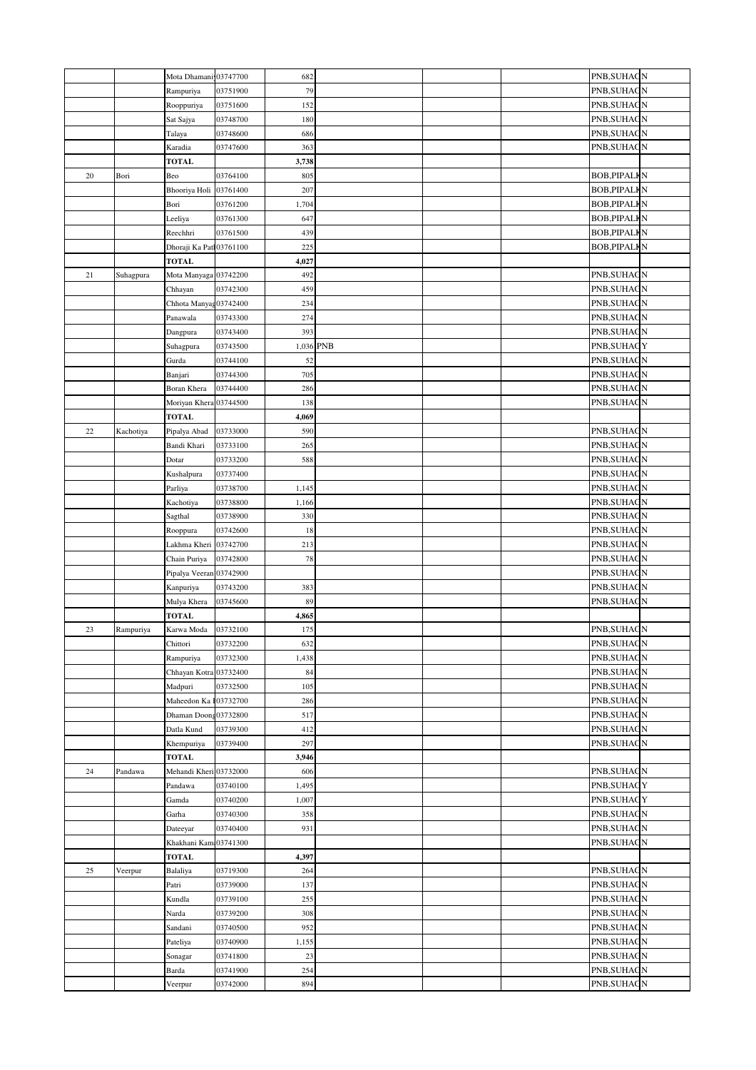|        |           | Mota Dhamani 03747700                 |          | 682          |  | PNB, SUHAGN                                |
|--------|-----------|---------------------------------------|----------|--------------|--|--------------------------------------------|
|        |           | Rampuriya                             | 03751900 | 79           |  | PNB, SUHAGN                                |
|        |           | Rooppuriya                            | 03751600 | 152          |  | PNB, SUHAGN                                |
|        |           | Sat Sajya                             | 03748700 | 180          |  | PNB, SUHAGN                                |
|        |           | Talaya                                | 03748600 | 686          |  | PNB, SUHAGN                                |
|        |           | Karadia                               | 03747600 | 363          |  | PNB, SUHAGN                                |
|        |           | TOTAL                                 |          | 3,738        |  |                                            |
| 20     | Bori      | Beo                                   | 03764100 | 805          |  | <b>BOB, PIPALKN</b>                        |
|        |           | Bhooriya Holi 03761400                |          | 207          |  | <b>BOB, PIPALKN</b>                        |
|        |           | Bori                                  | 03761200 | 1,704        |  | <b>BOB, PIPALKN</b>                        |
|        |           | Leeliya                               | 03761300 | 647          |  | <b>BOB, PIPALKN</b>                        |
|        |           | Reechhri                              | 03761500 | 439          |  | <b>BOB, PIPALKN</b><br><b>BOB, PIPALKN</b> |
|        |           | Dhoraji Ka Patl03761100               |          | 225          |  |                                            |
| 21     |           | <b>TOTAL</b><br>Mota Manyaga 03742200 |          | 4,027<br>492 |  | PNB, SUHAGN                                |
|        | Suhagpura | Chhayan                               | 03742300 | 459          |  | PNB, SUHAGN                                |
|        |           | Chhota Manyag03742400                 |          | 234          |  | PNB, SUHAGN                                |
|        |           | Panawala                              | 03743300 | 274          |  | PNB, SUHAGN                                |
|        |           | Dangpura                              | 03743400 | 393          |  | PNB, SUHAGN                                |
|        |           | Suhagpura                             | 03743500 | 1,036 PNB    |  | PNB, SUHAGY                                |
|        |           | Gurda                                 | 03744100 | 52           |  | PNB, SUHAGN                                |
|        |           | Banjari                               | 03744300 | 705          |  | PNB, SUHAGN                                |
|        |           | Boran Khera                           | 03744400 | 286          |  | PNB, SUHAGN                                |
|        |           | Moriyan Khera 03744500                |          | 138          |  | PNB, SUHAGN                                |
|        |           | <b>TOTAL</b>                          |          | 4,069        |  |                                            |
| $22\,$ | Kachotiya | Pipalya Abad                          | 03733000 | 590          |  | PNB, SUHAGN                                |
|        |           | Bandi Khari                           | 03733100 | 265          |  | PNB, SUHAGN                                |
|        |           | Dotar                                 | 03733200 | 588          |  | PNB, SUHAGN                                |
|        |           | Kushalpura                            | 03737400 |              |  | PNB, SUHAGN                                |
|        |           | Parliya                               | 03738700 | 1,145        |  | PNB, SUHAGN                                |
|        |           | Kachotiya                             | 03738800 | 1,166        |  | PNB, SUHAGN                                |
|        |           | Sagthal                               | 03738900 | 330          |  | PNB, SUHAGN                                |
|        |           | Rooppura                              | 03742600 | 18           |  | PNB, SUHAGN                                |
|        |           | Lakhma Kheri                          | 03742700 | 213          |  | PNB, SUHAGN                                |
|        |           | Chain Puriya                          | 03742800 | 78           |  | PNB, SUHAGN                                |
|        |           | Pipalya Veeran 03742900               | 03743200 | 383          |  | PNB, SUHAGN<br>PNB, SUHAGN                 |
|        |           | Kanpuriya<br>Mulya Khera              | 03745600 | 89           |  | PNB, SUHAGN                                |
|        |           | <b>TOTAL</b>                          |          | 4,865        |  |                                            |
| 23     | Rampuriya | Karwa Moda                            | 03732100 | 175          |  | PNB, SUHAGN                                |
|        |           | Chittori                              | 03732200 | 632          |  | PNB, SUHAGN                                |
|        |           | Rampuriya                             | 03732300 | 1,438        |  | PNB, SUHAGN                                |
|        |           | Chhayan Kotra 03732400                |          | 84           |  | PNB, SUHAGN                                |
|        |           | Madpuri                               | 03732500 | 105          |  | PNB, SUHAGN                                |
|        |           | Maheedon Ka 103732700                 |          | 286          |  | PNB, SUHAGN                                |
|        |           | Dhaman Doong03732800                  |          | 517          |  | PNB, SUHAGN                                |
|        |           | Datla Kund                            | 03739300 | 412          |  | PNB, SUHAGN                                |
|        |           | Khempuriya                            | 03739400 | 297          |  | PNB, SUHAGN                                |
|        |           | <b>TOTAL</b>                          |          | 3,946        |  |                                            |
| 24     | Pandawa   | Mehandi Kheri 03732000                |          | 606          |  | PNB, SUHAGN                                |
|        |           | Pandawa                               | 03740100 | 1,495        |  | PNB, SUHAGY                                |
|        |           | Gamda                                 | 03740200 | 1,007        |  | PNB, SUHAGY                                |
|        |           | Garha                                 | 03740300 | 358          |  | PNB, SUHAGN                                |
|        |           | Dateeyar<br>Khakhani Kam 03741300     | 03740400 | 931          |  | PNB, SUHAGN<br>PNB, SUHAGN                 |
|        |           | <b>TOTAL</b>                          |          | 4,397        |  |                                            |
| 25     | Veerpur   | Balaliya                              | 03719300 | 264          |  | PNB, SUHAGN                                |
|        |           | Patri                                 | 03739000 | 137          |  | PNB,SUHAGN                                 |
|        |           | Kundla                                | 03739100 | 255          |  | PNB, SUHAGN                                |
|        |           | Narda                                 | 03739200 | 308          |  | PNB, SUHAGN                                |
|        |           | Sandani                               | 03740500 | 952          |  | PNB, SUHAGN                                |
|        |           | Pateliya                              | 03740900 | 1,155        |  | PNB, SUHAGN                                |
|        |           | Sonagar                               | 03741800 | 23           |  | PNB, SUHAGN                                |
|        |           | Barda                                 | 03741900 | 254          |  | PNB, SUHAGN                                |
|        |           | Veerpur                               | 03742000 | 894          |  | PNB, SUHAGN                                |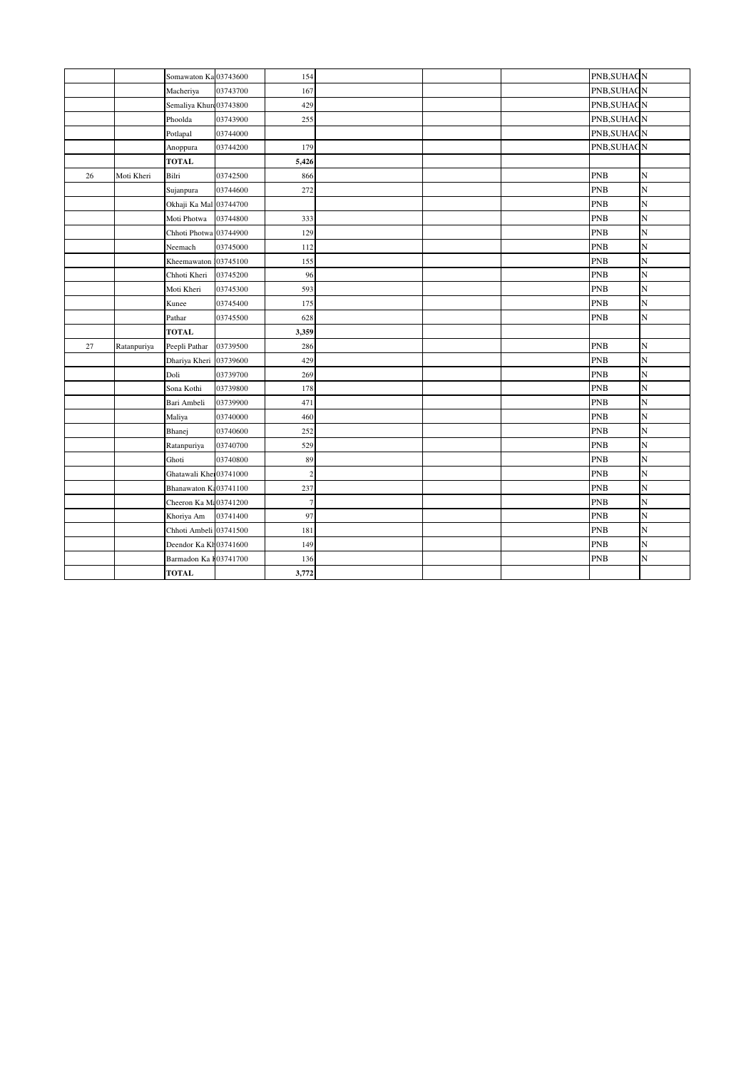|    |             | Somawaton Ka 03743600  |          | 154            |  | PNB, SUHAGN |   |
|----|-------------|------------------------|----------|----------------|--|-------------|---|
|    |             | Macheriya              | 03743700 | 167            |  | PNB, SUHAGN |   |
|    |             | Semaliya Khur 03743800 |          | 429            |  | PNB, SUHAGN |   |
|    |             | Phoolda                | 03743900 | 255            |  | PNB, SUHAGN |   |
|    |             | Potlapal               | 03744000 |                |  | PNB, SUHAGN |   |
|    |             | Anoppura               | 03744200 | 179            |  | PNB, SUHAGN |   |
|    |             | <b>TOTAL</b>           |          | 5,426          |  |             |   |
| 26 | Moti Kheri  | Bilri                  | 03742500 | 866            |  | <b>PNB</b>  | N |
|    |             | Sujanpura              | 03744600 | 272            |  | <b>PNB</b>  | N |
|    |             | Okhaji Ka Mal 03744700 |          |                |  | <b>PNB</b>  | N |
|    |             | Moti Photwa            | 03744800 | 333            |  | <b>PNB</b>  | N |
|    |             | Chhoti Photwa 03744900 |          | 129            |  | <b>PNB</b>  | N |
|    |             | Neemach                | 03745000 | 112            |  | <b>PNB</b>  | N |
|    |             | Kheemawaton 03745100   |          | 155            |  | <b>PNB</b>  | N |
|    |             | Chhoti Kheri           | 03745200 | 96             |  | <b>PNB</b>  | N |
|    |             | Moti Kheri             | 03745300 | 593            |  | <b>PNB</b>  | N |
|    |             | Kunee                  | 03745400 | 175            |  | <b>PNB</b>  | N |
|    |             | Pathar                 | 03745500 | 628            |  | <b>PNB</b>  | N |
|    |             | <b>TOTAL</b>           |          | 3,359          |  |             |   |
| 27 | Ratanpuriya | Peepli Pathar          | 03739500 | 286            |  | <b>PNB</b>  | N |
|    |             | Dhariya Kheri 03739600 |          | 429            |  | <b>PNB</b>  | N |
|    |             | Doli                   | 03739700 | 269            |  | <b>PNB</b>  | N |
|    |             | Sona Kothi             | 03739800 | 178            |  | <b>PNB</b>  | N |
|    |             | Bari Ambeli            | 03739900 | 471            |  | <b>PNB</b>  | N |
|    |             | Maliya                 | 03740000 | 460            |  | <b>PNB</b>  | N |
|    |             | Bhanej                 | 03740600 | 252            |  | <b>PNB</b>  | N |
|    |             | Ratanpuriya            | 03740700 | 529            |  | <b>PNB</b>  | N |
|    |             | Ghoti                  | 03740800 | 89             |  | <b>PNB</b>  | N |
|    |             | Ghatawali Kher03741000 |          | $\overline{c}$ |  | <b>PNB</b>  | N |
|    |             | Bhanawaton K:03741100  |          | 237            |  | <b>PNB</b>  | N |
|    |             | Cheeron Ka M: 03741200 |          | $\tau$         |  | <b>PNB</b>  | N |
|    |             | Khoriya Am             | 03741400 | 97             |  | <b>PNB</b>  | N |
|    |             | Chhoti Ambeli 03741500 |          | 181            |  | <b>PNB</b>  | N |
|    |             | Deendor Ka Kh03741600  |          | 149            |  | <b>PNB</b>  | N |
|    |             |                        |          |                |  |             |   |
|    |             | Barmadon Ka 103741700  |          | 136            |  | <b>PNB</b>  | N |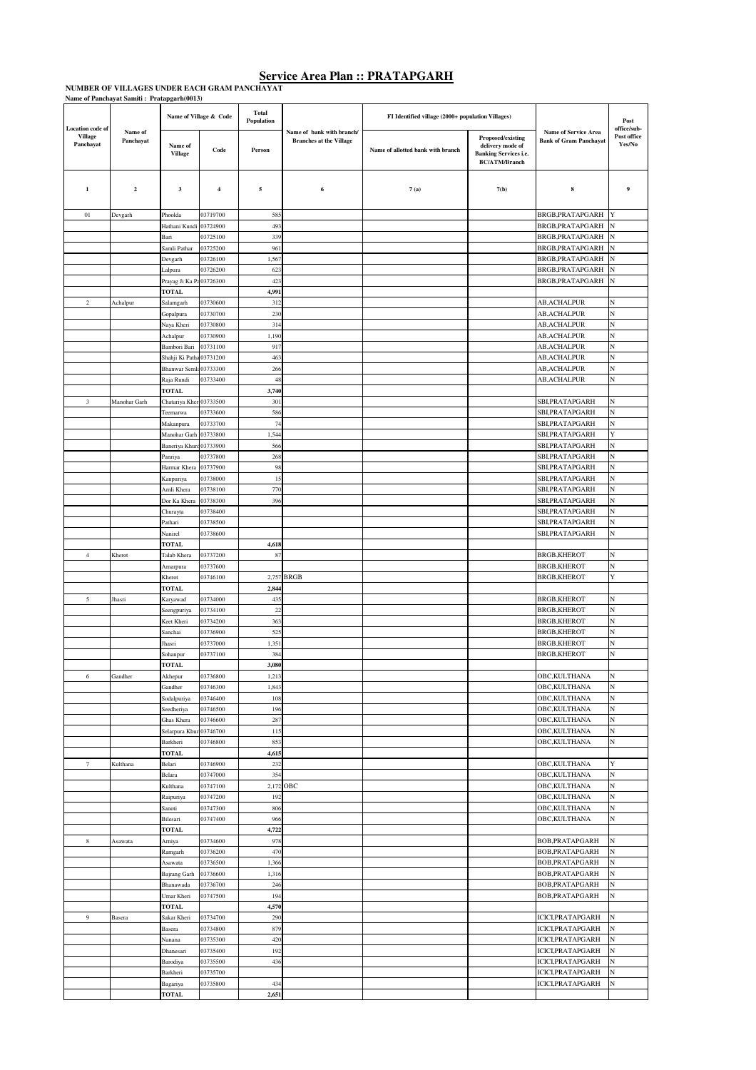# **Service Area Plan :: PRATAPGARH**<br>NUMBER OF VILLAGES UNDER EACH GRAM PANCHAYAT<br>Name of Panchayat Samiti : Pratapgarh(0013)

|                                                        |                      |                                    |                         | <b>Total</b> |                                                             |                                                   |                                                                                                      |                                                              |                                      |
|--------------------------------------------------------|----------------------|------------------------------------|-------------------------|--------------|-------------------------------------------------------------|---------------------------------------------------|------------------------------------------------------------------------------------------------------|--------------------------------------------------------------|--------------------------------------|
|                                                        |                      |                                    | Name of Village & Code  | Population   |                                                             | FI Identified village (2000+ population Villages) |                                                                                                      |                                                              | Post                                 |
| <b>Location</b> code of<br><b>Village</b><br>Panchayat | Name of<br>Panchayat | Name of<br><b>Village</b>          | Code                    | Person       | Name of bank with branch/<br><b>Branches at the Village</b> | Name of allotted bank with branch                 | <b>Proposed/existing</b><br>delivery mode of<br><b>Banking Services i.e.</b><br><b>BC/ATM/Branch</b> | <b>Name of Service Area</b><br><b>Bank of Gram Panchayat</b> | office/sub-<br>Post office<br>Yes/No |
| $\mathbf{1}$                                           | $\mathbf 2$          | 3                                  | $\overline{\mathbf{4}}$ | 5            | 6                                                           | 7(a)                                              | 7(b)                                                                                                 | 8                                                            | 9                                    |
| $_{01}$                                                | Devgarh              | Phoolda                            | 03719700                | 585          |                                                             |                                                   |                                                                                                      | BRGB,PRATAPGARH                                              |                                      |
|                                                        |                      | Hathani Kundi                      | 03724900                | 493          |                                                             |                                                   |                                                                                                      | BRGB,PRATAPGARH                                              | N                                    |
|                                                        |                      | Bari                               | 03725100                | 339          |                                                             |                                                   |                                                                                                      | BRGB, PRATAPGARH                                             | N                                    |
|                                                        |                      | Samli Pathar                       | 03725200                | 961          |                                                             |                                                   |                                                                                                      | BRGB,PRATAPGARH                                              | N                                    |
|                                                        |                      | Devgarh                            | 03726100<br>03726200    | 1,567<br>623 |                                                             |                                                   |                                                                                                      | BRGB, PRATAPGARH<br>BRGB, PRATAPGARH                         | N<br>N                               |
|                                                        |                      | Lalpura<br>Prayag Ji Ka Pa03726300 |                         | 423          |                                                             |                                                   |                                                                                                      | BRGB, PRATAPGARH                                             | N                                    |
|                                                        |                      | <b>TOTAL</b>                       |                         | 4,991        |                                                             |                                                   |                                                                                                      |                                                              |                                      |
| $\,2$                                                  | Achalpur             | Salamgarh                          | 03730600                | 312          |                                                             |                                                   |                                                                                                      | AB, ACHALPUR                                                 | N                                    |
|                                                        |                      | Gopalpura                          | 03730700                | 230          |                                                             |                                                   |                                                                                                      | <b>AB, ACHALPUR</b>                                          | N                                    |
|                                                        |                      | Naya Kheri                         | 03730800                | 314          |                                                             |                                                   |                                                                                                      | AB, ACHALPUR                                                 | N                                    |
|                                                        |                      | Achalpur<br>Bambori Bari           | 03730900<br>03731100    | 1,190<br>917 |                                                             |                                                   |                                                                                                      | <b>AB, ACHALPUR</b><br>AB, ACHALPUR                          | N<br>N                               |
|                                                        |                      | Shahji Ki Patha 03731200           |                         | 463          |                                                             |                                                   |                                                                                                      | AB,ACHALPUR                                                  | N                                    |
|                                                        |                      | Bhanwar Semla 03733300             |                         | 266          |                                                             |                                                   |                                                                                                      | AB, ACHALPUR                                                 | N                                    |
|                                                        |                      | Raja Rundi                         | 03733400                | 48           |                                                             |                                                   |                                                                                                      | AB, ACHALPUR                                                 | N                                    |
|                                                        |                      | <b>TOTAL</b>                       |                         | 3,740        |                                                             |                                                   |                                                                                                      |                                                              |                                      |
| 3                                                      | Manohar Garh         | Chatariya Kher                     | 103733500               | 301          |                                                             |                                                   |                                                                                                      | SBI, PRATAPGARH                                              | N                                    |
|                                                        |                      | Teemarwa<br>Makanpura              | 03733600<br>03733700    | 586<br>74    |                                                             |                                                   |                                                                                                      | SBI,PRATAPGARH<br>SBI, PRATAPGARH                            | N<br>N                               |
|                                                        |                      | Manohar Garh                       | 03733800                | 1,544        |                                                             |                                                   |                                                                                                      | SBI, PRATAPGARH                                              | Y                                    |
|                                                        |                      | Baneriya Khurd 03733900            |                         | 566          |                                                             |                                                   |                                                                                                      | SBI,PRATAPGARH                                               | N                                    |
|                                                        |                      | Panriya                            | 03737800                | 268          |                                                             |                                                   |                                                                                                      | SBI, PRATAPGARH                                              | N                                    |
|                                                        |                      | Harmar Khera                       | 03737900                | 98           |                                                             |                                                   |                                                                                                      | SBI,PRATAPGARH                                               | N                                    |
|                                                        |                      | Kanpuriya                          | 03738000                | 15           |                                                             |                                                   |                                                                                                      | SBI,PRATAPGARH                                               | N                                    |
|                                                        |                      | Amli Khera                         | 03738100                | 770          |                                                             |                                                   |                                                                                                      | SBI, PRATAPGARH                                              | N                                    |
|                                                        |                      | Dor Ka Khera<br>Churayta           | 03738300<br>03738400    | 396          |                                                             |                                                   |                                                                                                      | SBI, PRATAPGARH<br>SBI,PRATAPGARH                            | N<br>N                               |
|                                                        |                      | Pathari                            | 03738500                |              |                                                             |                                                   |                                                                                                      | SBI, PRATAPGARH                                              | N                                    |
|                                                        |                      | Nanirel                            | 03738600                |              |                                                             |                                                   |                                                                                                      | SBI,PRATAPGARH                                               | N                                    |
|                                                        |                      | <b>TOTAL</b>                       |                         | 4,618        |                                                             |                                                   |                                                                                                      |                                                              |                                      |
| $\overline{4}$                                         | Kherot               | Talab Khera                        | 03737200                | 87           |                                                             |                                                   |                                                                                                      | <b>BRGB,KHEROT</b>                                           | N                                    |
|                                                        |                      | Amarpura<br>Kherot                 | 03737600<br>03746100    |              | 2,757 BRGB                                                  |                                                   |                                                                                                      | <b>BRGB,KHEROT</b><br><b>BRGB,KHEROT</b>                     | N<br>Y                               |
|                                                        |                      | TOTAL                              |                         | 2,844        |                                                             |                                                   |                                                                                                      |                                                              |                                      |
| 5                                                      | Jhasri               | Karyawad                           | 03734000                | 435          |                                                             |                                                   |                                                                                                      | <b>BRGB,KHEROT</b>                                           | N                                    |
|                                                        |                      | Seengpuriya                        | 03734100                | $22\,$       |                                                             |                                                   |                                                                                                      | <b>BRGB,KHEROT</b>                                           | N                                    |
|                                                        |                      | Keet Kheri                         | 03734200                | 363          |                                                             |                                                   |                                                                                                      | <b>BRGB,KHEROT</b>                                           | N                                    |
|                                                        |                      | Sanchai<br>Jhasri                  | 03736900<br>03737000    | 525<br>1,351 |                                                             |                                                   |                                                                                                      | <b>BRGB,KHEROT</b><br><b>BRGB,KHEROT</b>                     | N<br>N                               |
|                                                        |                      | Sohanpur                           | 03737100                | 384          |                                                             |                                                   |                                                                                                      | BRGB,KHEROT                                                  | N                                    |
|                                                        |                      | <b>TOTAL</b>                       |                         | 3,080        |                                                             |                                                   |                                                                                                      |                                                              |                                      |
| 6                                                      | Gandher              | Akhepur                            | 03736800                | 1,213        |                                                             |                                                   |                                                                                                      | OBC, KULTHANA                                                | N                                    |
|                                                        |                      | Gandher                            | 03746300                | 1,843        |                                                             |                                                   |                                                                                                      | OBC, KULTHANA                                                | N                                    |
|                                                        |                      | Sodalpuriya<br>Seedheriya          | 03746400<br>03746500    | 108<br>196   |                                                             |                                                   |                                                                                                      | OBC, KULTHANA<br>OBC, KULTHANA                               | N<br>N                               |
|                                                        |                      | Ghas Khera                         | 03746600                | 287          |                                                             |                                                   |                                                                                                      | OBC, KULTHANA                                                | N                                    |
|                                                        |                      | Selarpura Khun03746700             |                         | 115          |                                                             |                                                   |                                                                                                      | OBC, KULTHANA                                                | N                                    |
|                                                        |                      | Barkheri                           | 03746800                | 853          |                                                             |                                                   |                                                                                                      | OBC, KULTHANA                                                | N                                    |
|                                                        |                      | <b>TOTAL</b>                       |                         | 4,615        |                                                             |                                                   |                                                                                                      |                                                              |                                      |
| $\tau$                                                 | Kulthana             | Belari<br>Belara                   | 03746900<br>03747000    | 232<br>354   |                                                             |                                                   |                                                                                                      | OBC, KULTHANA<br>OBC, KULTHANA                               | Y<br>N                               |
|                                                        |                      | Kulthana                           | 03747100                |              | 2,172 OBC                                                   |                                                   |                                                                                                      | OBC,KULTHANA                                                 | N                                    |
|                                                        |                      | Raipuriya                          | 03747200                | 192          |                                                             |                                                   |                                                                                                      | OBC, KULTHANA                                                | N                                    |
|                                                        |                      | Sanoti                             | 03747300                | 806          |                                                             |                                                   |                                                                                                      | OBC, KULTHANA                                                | N                                    |
|                                                        |                      | Bilesari                           | 03747400                | 966          |                                                             |                                                   |                                                                                                      | OBC, KULTHANA                                                | N                                    |
|                                                        |                      | <b>TOTAL</b>                       |                         | 4,722<br>978 |                                                             |                                                   |                                                                                                      |                                                              | N                                    |
| 8                                                      | Asawata              | Arniya<br>Ramgarh                  | 03734600<br>03736200    | 470          |                                                             |                                                   |                                                                                                      | BOB,PRATAPGARH<br>BOB, PRATAPGARH                            | N                                    |
|                                                        |                      | Asawata                            | 03736500                | 1,366        |                                                             |                                                   |                                                                                                      | BOB, PRATAPGARH                                              | N                                    |
|                                                        |                      | Bajrang Garh                       | 03736600                | 1,316        |                                                             |                                                   |                                                                                                      | BOB, PRATAPGARH                                              | N                                    |
|                                                        |                      | Bhanawada                          | 03736700                | 246          |                                                             |                                                   |                                                                                                      | BOB, PRATAPGARH                                              | N                                    |
|                                                        |                      | Umar Kheri                         | 03747500                | 194          |                                                             |                                                   |                                                                                                      | BOB, PRATAPGARH                                              | N                                    |
| 9                                                      | Basera               | <b>TOTAL</b><br>Sakar Kheri        | 03734700                | 4,570<br>290 |                                                             |                                                   |                                                                                                      | ICICI, PRATAPGARH                                            | N                                    |
|                                                        |                      | Basera                             | 03734800                | 879          |                                                             |                                                   |                                                                                                      | ICICI,PRATAPGARH                                             | N                                    |
|                                                        |                      | Nanana                             | 03735300                | 420          |                                                             |                                                   |                                                                                                      | ICICI,PRATAPGARH                                             | N                                    |
|                                                        |                      | Dhanesari                          | 03735400                | 192          |                                                             |                                                   |                                                                                                      | <b>ICICI,PRATAPGARH</b>                                      | N                                    |
|                                                        |                      | Barodiya                           | 03735500                | 436          |                                                             |                                                   |                                                                                                      | ICICI,PRATAPGARH                                             | N                                    |
|                                                        |                      | Barkheri                           | 03735700                |              |                                                             |                                                   |                                                                                                      | ICICI,PRATAPGARH                                             | N                                    |
|                                                        |                      | Bagariya<br><b>TOTAL</b>           | 03735800                | 434<br>2,651 |                                                             |                                                   |                                                                                                      | ICICI,PRATAPGARH                                             | N                                    |
|                                                        |                      |                                    |                         |              |                                                             |                                                   |                                                                                                      |                                                              |                                      |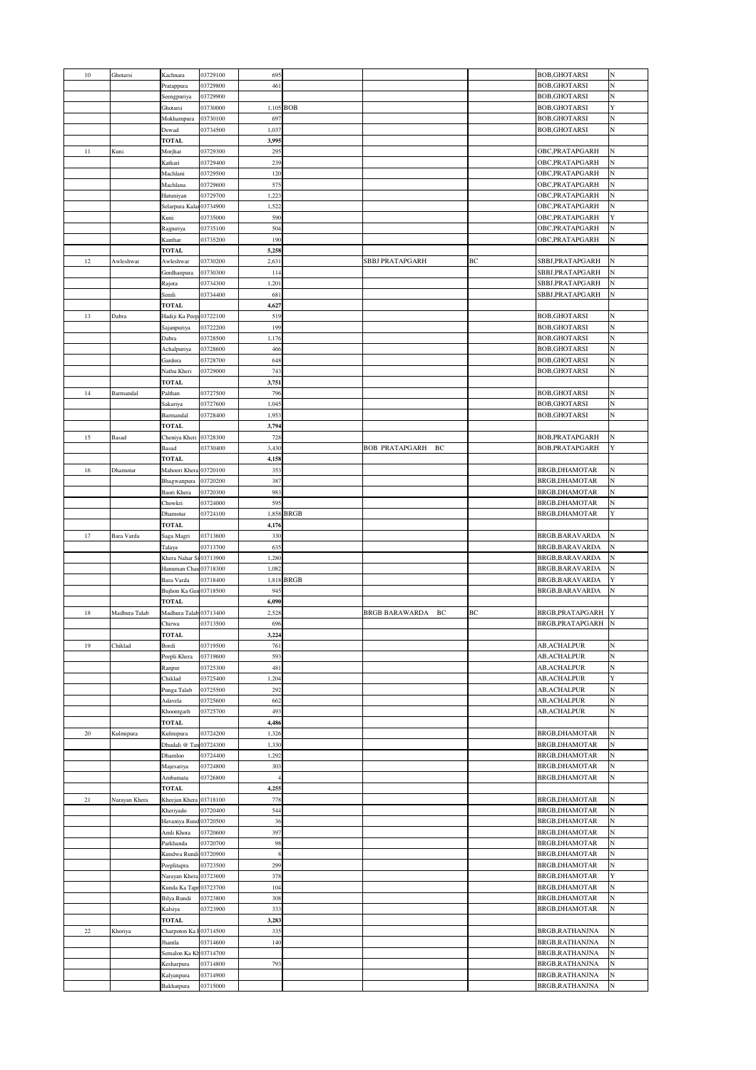| $10\,$ | Ghotarsi      | Kachnara                 | 03729100             | 695            |            |                             |    | <b>BOB,GHOTARSI</b>                | N      |
|--------|---------------|--------------------------|----------------------|----------------|------------|-----------------------------|----|------------------------------------|--------|
|        |               | Pratappura               | 03729800             | 461            |            |                             |    | <b>BOB,GHOTARSI</b>                | N      |
|        |               | Seengpuriya              | 03729900             |                |            |                             |    | <b>BOB,GHOTARSI</b>                | N      |
|        |               | Ghotarsi                 | 03730000             |                | 1,105 BOB  |                             |    | <b>BOB,GHOTARSI</b>                | Y      |
|        |               | Mokhampura               | 03730100             | 697            |            |                             |    | <b>BOB,GHOTARSI</b>                | N      |
|        |               |                          |                      |                |            |                             |    |                                    |        |
|        |               | Dewad                    | 03734500             | 1,037          |            |                             |    | <b>BOB,GHOTARSI</b>                | N      |
|        |               | <b>TOTAL</b>             |                      | 3,995          |            |                             |    |                                    |        |
| 11     | Kuni          | Morjhar                  | 03729300             | 295            |            |                             |    | OBC, PRATAPGARH                    | N      |
|        |               | Katkari                  | 03729400             | 239            |            |                             |    | OBC, PRATAPGARH                    | N      |
|        |               | Machlani                 | 03729500             | 120            |            |                             |    | OBC, PRATAPGARH                    | N      |
|        |               | Machlana                 | 03729600             | 575            |            |                             |    | OBC, PRATAPGARH                    | N      |
|        |               | Hatuniyan                | 03729700             | 1,223          |            |                             |    | OBC, PRATAPGARH                    |        |
|        |               | Selarpura Kalar 03734900 |                      | 1,522          |            |                             |    | OBC, PRATAPGARH                    |        |
|        |               | Kuni                     | 03735000             | 590            |            |                             |    | OBC, PRATAPGARH                    | Y      |
|        |               | Rajpuriya                | 03735100             | 504            |            |                             |    | OBC, PRATAPGARH                    | N      |
|        |               | Kanthar                  | 03735200             | 190            |            |                             |    | OBC, PRATAPGARH                    | N      |
|        |               |                          |                      |                |            |                             |    |                                    |        |
|        |               | <b>TOTAL</b>             |                      | 5,258          |            |                             |    |                                    |        |
| 12     | Awleshwar     | Awleshwar                | 03730200             | 2,631          |            | <b>SBBJ PRATAPGARH</b>      | BC | SBBJ, PRATAPGARH                   | N      |
|        |               | Gordhanpura              | 03730300             | 114            |            |                             |    | SBBJ,PRATAPGARH                    | N      |
|        |               | Rajora                   | 03734300             | 1,201          |            |                             |    | SBBJ,PRATAPGARH                    | N      |
|        |               | Semli                    | 03734400             | 681            |            |                             |    | SBBJ, PRATAPGARH                   | N      |
|        |               | <b>TOTAL</b>             |                      | 4,627          |            |                             |    |                                    |        |
| 13     | Dabra         | Hadiji Ka Peep:03722100  |                      | 519            |            |                             |    | <b>BOB,GHOTARSI</b>                | N      |
|        |               | Sajanpuriya              | 03722200             | 199            |            |                             |    | <b>BOB, GHOTARSI</b>               | N      |
|        |               | Dabra                    | 03728500             | 1,176          |            |                             |    | BOB, GHOTARSI                      | N      |
|        |               | Achalpuriya              | 03728600             | 466            |            |                             |    | <b>BOB,GHOTARSI</b>                | N      |
|        |               | Gardora                  | 03728700             | 648            |            |                             |    | <b>BOB, GHOTARSI</b>               | N      |
|        |               |                          |                      |                |            |                             |    |                                    | N      |
|        |               | Nathu Kheri              | 03729000             | 743            |            |                             |    | <b>BOB,GHOTARSI</b>                |        |
|        |               | <b>TOTAL</b>             |                      | 3,751          |            |                             |    |                                    |        |
| 14     | Barmandal     | Palthan                  | 03727500             | 796            |            |                             |    | <b>BOB,GHOTARSI</b>                | N      |
|        |               | Sakariya                 | 03727600             | 1,045          |            |                             |    | <b>BOB,GHOTARSI</b>                | N      |
|        |               | Barmandal                | 03728400             | 1,953          |            |                             |    | <b>BOB, GHOTARSI</b>               | N      |
|        |               | <b>TOTAL</b>             |                      | 3,794          |            |                             |    |                                    |        |
| 15     | Basad         | Cheniya Kheri 03728300   |                      | 728            |            |                             |    | BOB, PRATAPGARH                    | N      |
|        |               | Basad                    | 03730400             | 3,430          |            | <b>BOB PRATAPGARH</b><br>ВC |    | BOB, PRATAPGARH                    | Y      |
|        |               | <b>TOTAL</b>             |                      | 4,158          |            |                             |    |                                    |        |
| 16     | Dhamotar      | Mahoori Khera 03720100   |                      | 353            |            |                             |    | BRGB, DHAMOTAR                     | N      |
|        |               |                          |                      |                |            |                             |    |                                    |        |
|        |               | Bhagwanpura              | 03720200             | 387            |            |                             |    | BRGB, DHAMOTAR                     |        |
|        |               | Baori Khera              | 03720300             | 983            |            |                             |    | BRGB, DHAMOTAR                     | N      |
|        |               | Chowkri                  | 03724000             | 595            |            |                             |    | BRGB, DHAMOTAR                     |        |
|        |               | Dhamotar                 | 03724100             |                | 1,858 BRGB |                             |    | BRGB, DHAMOTAR                     | Y      |
|        |               | <b>TOTAL</b>             |                      | 4,176          |            |                             |    |                                    |        |
|        |               |                          |                      |                |            |                             |    |                                    |        |
| 17     | Bara Varda    | Saga Magri               | 03713600             | 330            |            |                             |    | BRGB, BARAVARDA                    | N      |
|        |               | Talaya                   | 03713700             | 635            |            |                             |    | BRGB, BARAVARDA                    | N      |
|        |               | Khera Nahar Si 03713900  |                      | 1,280          |            |                             |    | BRGB, BARAVARDA                    | N      |
|        |               |                          |                      |                |            |                             |    |                                    |        |
|        |               | Hanuman Chau 03718300    |                      | 1,082          |            |                             |    | BRGB, BARAVARDA                    | N<br>Y |
|        |               | Bara Varda               | 03718400             |                | 1,818 BRGB |                             |    | BRGB, BARAVARDA                    |        |
|        |               | Bujhon Ka Gan 03718500   |                      | 945            |            |                             |    | <b>BRGB,BARAVARDA</b>              | N      |
|        |               | <b>TOTAL</b>             |                      | 6,090          |            |                             |    |                                    |        |
| 18     | Madhura Talab | Madhura Talab 03713400   |                      | 2,528          |            | <b>BRGB BARAWARDA</b><br>ВC | BC | BRGB, PRATAPGARH                   | Y      |
|        |               | Chirwa                   | 03713500             | 696            |            |                             |    | BRGB, PRATAPGARH                   | N      |
|        |               | <b>TOTAL</b>             |                      | 3,224          |            |                             |    |                                    |        |
| 19     | Chiklad       | Bordi                    | 03719500             | 761            |            |                             |    | <b>AB, ACHALPUR</b>                | N      |
|        |               | Peepli Khera             | 03719600             | 593            |            |                             |    | <b>AB, ACHALPUR</b>                | N      |
|        |               | Ranpur                   | 03725300             | 481            |            |                             |    | AB,ACHALPUR                        | N      |
|        |               | Chiklad                  | 03725400             | 1,204          |            |                             |    | AB,ACHALPUR                        | Y      |
|        |               |                          |                      |                |            |                             |    | <b>AB, ACHALPUR</b>                | N      |
|        |               | Punga Talab              | 03725500             | 292            |            |                             |    |                                    |        |
|        |               | Adavela                  | 03725600             | 662            |            |                             |    | AB, ACHALPUR                       | N      |
|        |               | Khoontgarh               | 03725700             | 493            |            |                             |    | <b>AB, ACHALPUR</b>                | N      |
|        |               | <b>TOTAL</b>             |                      | 4,486          |            |                             |    |                                    |        |
| 20     | Kulmipura     | Kulmipura                | 03724200             | 1,326          |            |                             |    | BRGB, DHAMOTAR                     | N      |
|        |               | Dhudali @ Tan 03724300   |                      | 1,330          |            |                             |    | BRGB, DHAMOTAR                     | N      |
|        |               | Dhamloo                  | 03724400             | 1,292          |            |                             |    | BRGB, DHAMOTAR                     |        |
|        |               | Majesariya               | 03724800             | 303            |            |                             |    | <b>BRGB, DHAMOTAR</b>              | N      |
|        |               | Ambamata                 | 03726800             | $\overline{4}$ |            |                             |    | BRGB, DHAMOTAR                     | N      |
|        |               | <b>TOTAL</b>             |                      | 4,255          |            |                             |    |                                    |        |
| 21     | Narayan Khera | Kheejan Khera            | 03718100             | 778            |            |                             |    | BRGB, DHAMOTAR                     | N      |
|        |               | Kheriyado                | 03720400             | 544            |            |                             |    | BRGB, DHAMOTAR                     | N      |
|        |               |                          |                      | 36             |            |                             |    |                                    | N      |
|        |               | Havaniya Rund 03720500   |                      |                |            |                             |    | BRGB, DHAMOTAR                     |        |
|        |               | Amli Khora               | 03720600             | 397            |            |                             |    | BRGB, DHAMOTAR                     | N      |
|        |               | Parkhanda                | 03720700             | 98             |            |                             |    | BRGB, DHAMOTAR                     |        |
|        |               | Kundwa Rundi 03720900    |                      | 8              |            |                             |    | BRGB, DHAMOTAR                     |        |
|        |               | Peeplitapra              | 03723500             | 299            |            |                             |    | BRGB, DHAMOTAR                     | N      |
|        |               | Narayan Khera            | 03723600             | 378            |            |                             |    | BRGB, DHAMOTAR                     | Y      |
|        |               | Kunda Ka Tapr 03723700   |                      | 104            |            |                             |    | BRGB, DHAMOTAR                     | N      |
|        |               | <b>Bilya Rundi</b>       | 03723800             | 308            |            |                             |    | BRGB, DHAMOTAR                     | N      |
|        |               | Kalsiya                  | 03723900             | 333            |            |                             |    | BRGB, DHAMOTAR                     | N      |
|        |               | <b>TOTAL</b>             |                      | 3,283          |            |                             |    |                                    |        |
| $22\,$ |               |                          |                      | 335            |            |                             |    |                                    | N      |
|        | Khoriya       | Charpoton Ka F03714500   |                      |                |            |                             |    | BRGB,RATHANJNA                     | N      |
|        |               | Jhantla                  | 03714600             | 140            |            |                             |    | BRGB, RATHANJNA                    |        |
|        |               | Semalon Ka Kh03714700    |                      |                |            |                             |    | BRGB, RATHANJNA                    |        |
|        |               | Kesharpura               | 03714800             | 793            |            |                             |    | BRGB, RATHANJNA                    |        |
|        |               | Kalyanpura<br>Bakhatpura | 03714900<br>03715000 |                |            |                             |    | BRGB, RATHANJNA<br>BRGB, RATHANJNA | N<br>N |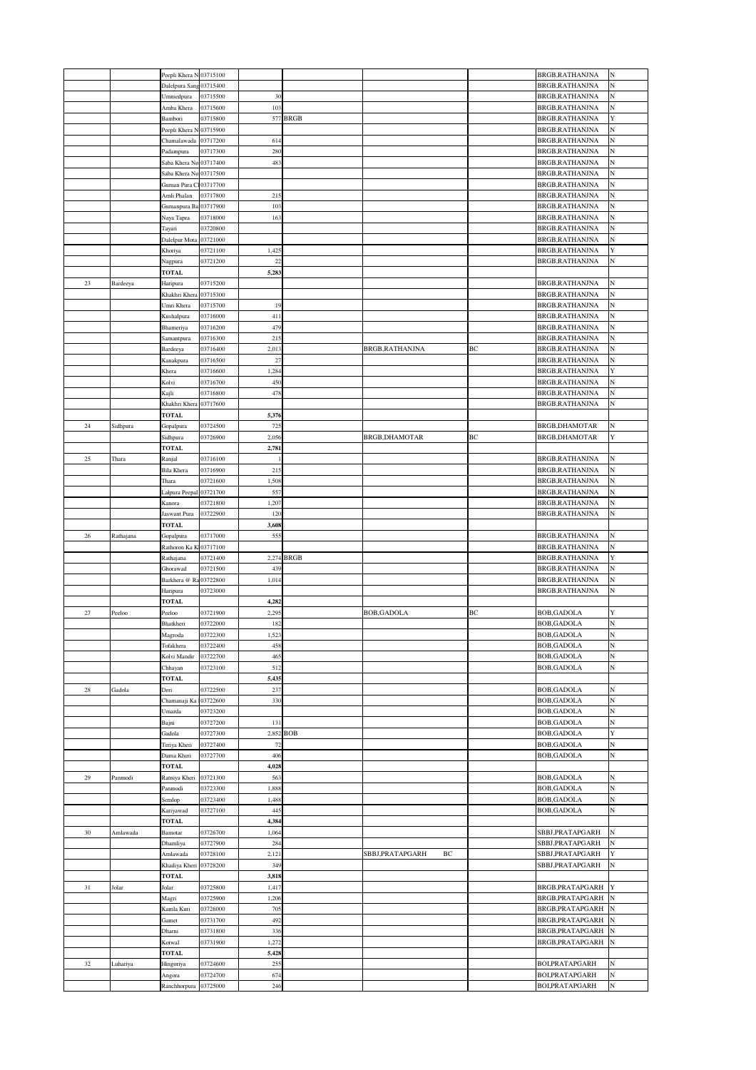|             |           | Peepli Khera N 03715100 |                      |            |            |                       |    | BRGB, RATHANJNA                           | N          |
|-------------|-----------|-------------------------|----------------------|------------|------------|-----------------------|----|-------------------------------------------|------------|
|             |           | Dalelpura Sang 03715400 |                      |            |            |                       |    | <b>BRGB, RATHANJNA</b>                    | N          |
|             |           | Ummedpura               | 03715500             | 30         |            |                       |    | BRGB, RATHANJNA                           | N          |
|             |           | Amba Khera              | 03715600             | 103        |            |                       |    | BRGB, RATHANJNA                           | N          |
|             |           | Bambori                 | 03715800             |            | 577 BRGB   |                       |    | BRGB, RATHANJNA                           | Y          |
|             |           | Peepli Khera N 03715900 |                      |            |            |                       |    | BRGB, RATHANJNA                           | N          |
|             |           | Chamalawada 03717200    |                      | 614        |            |                       |    | BRGB, RATHANJNA                           | N          |
|             |           | Padampura               | 03717300             | 280        |            |                       |    | BRGB, RATHANJNA                           | N          |
|             |           | Saba Khera No           | 03717400             | 483        |            |                       |    | BRGB, RATHANJNA                           | N          |
|             |           | Saba Khera No           | 03717500             |            |            |                       |    | BRGB, RATHANJNA                           | N          |
|             |           | Guman Pura Cl 03717700  |                      |            |            |                       |    | BRGB, RATHANJNA                           | N          |
|             |           | Amli Phalan             | 03717800             | 215        |            |                       |    | BRGB, RATHANJNA                           | N          |
|             |           | Gumanpura Bai03717900   |                      | 103        |            |                       |    | BRGB, RATHANJNA                           | N          |
|             |           | Naya Tapra              | 03718000             | 163        |            |                       |    | BRGB, RATHANJNA                           | N          |
|             |           | Tayari                  | 03720800             |            |            |                       |    | BRGB, RATHANJNA                           | N          |
|             |           | Dalelpur Mota 03721000  |                      |            |            |                       |    | BRGB, RATHANJNA                           | N          |
|             |           | Khoriya                 | 03721100             | 1,425      |            |                       |    | BRGB, RATHANJNA                           | Y          |
|             |           | Nagpura                 | 03721200             | 22         |            |                       |    | BRGB, RATHANJNA                           | N          |
|             |           | <b>TOTAL</b>            |                      | 5,283      |            |                       |    |                                           |            |
| 23          | Bardeeya  | Haripura                | 03715200             |            |            |                       |    | BRGB, RATHANJNA                           | N          |
|             |           | Khakhri Khera 03715300  |                      |            |            |                       |    | BRGB, RATHANJNA                           | N          |
|             |           | Umri Khera              | 03715700             | 19         |            |                       |    | BRGB, RATHANJNA                           | N          |
|             |           | Kushalpura              | 03716000             | 411        |            |                       |    | BRGB, RATHANJNA                           | N          |
|             |           | Bhameriya               | 03716200             | 479        |            |                       |    | BRGB, RATHANJNA                           | N          |
|             |           | Samantpura              | 03716300             | 215        |            |                       |    | BRGB, RATHANJNA                           | N          |
|             |           | Bardeeya                | 03716400             | 2,013      |            | BRGB,RATHANJNA        | BC | BRGB, RATHANJNA                           | N          |
|             |           | Kanakpura               | 03716500             | 27         |            |                       |    | BRGB, RATHANJNA                           | N          |
|             |           | Khera                   | 03716600             | 1,284      |            |                       |    | BRGB, RATHANJNA                           | Y          |
|             |           | Kolvi                   | 03716700             | 450        |            |                       |    | BRGB, RATHANJNA                           | N          |
|             |           | Kajli                   | 03716800             | 478        |            |                       |    | BRGB, RATHANJNA                           | N          |
|             |           | Khakhri Khera 03717600  |                      |            |            |                       |    | BRGB, RATHANJNA                           | N          |
|             |           | <b>TOTAL</b>            |                      | 5,376      |            |                       |    |                                           |            |
| 24          | Sidhpura  | Gopalpura               | 03724500             | 725        |            |                       |    | BRGB, DHAMOTAR                            | N          |
|             |           | Sidhpura                | 03726900             | 2,056      |            | BRGB, DHAMOTAR        | ВC | BRGB, DHAMOTAR                            | Y          |
|             |           | <b>TOTAL</b>            |                      | 2,781      |            |                       |    |                                           |            |
| 25          | Thara     | Ranjal                  | 03716100             |            |            |                       |    | BRGB, RATHANJNA                           | N          |
|             |           | Bila Khera              | 03716900             | 215        |            |                       |    | BRGB, RATHANJNA                           | N          |
|             |           | Thara                   | 03721600             | 1,508      |            |                       |    | BRGB, RATHANJNA                           | N          |
|             |           | Lalpura Peepal 03721700 |                      | 557        |            |                       |    | BRGB, RATHANJNA                           | N          |
|             |           | Kanora                  | 03721800             | 1,207      |            |                       |    | BRGB, RATHANJNA                           | N          |
|             |           | Jaswant Pura            | 03722900             | 120        |            |                       |    | BRGB, RATHANJNA                           | N          |
|             |           | <b>TOTAL</b>            |                      | 3,608      |            |                       |    |                                           |            |
| 26          | Rathajana | Gopalpura               | 03717000             | 555        |            |                       |    | BRGB, RATHANJNA                           | N          |
|             |           | Rathoron Ka KI03717100  |                      |            |            |                       |    | BRGB, RATHANJNA                           | N          |
|             |           |                         |                      |            |            |                       |    |                                           |            |
|             |           | Rathajana               | 03721400             |            | 2,274 BRGB |                       |    | BRGB, RATHANJNA                           | Y          |
|             |           | Ghorawad                | 03721500             | 439        |            |                       |    | BRGB, RATHANJNA                           | N          |
|             |           | Barkhera @ Ra 03722800  |                      | 1,014      |            |                       |    | BRGB, RATHANJNA                           | N          |
|             |           | Haripura                | 03723000             |            |            |                       |    | BRGB, RATHANJNA                           | N          |
|             |           | <b>TOTAL</b>            |                      | 4,282      |            |                       |    |                                           |            |
| 27          | Peeloo    | Peeloo                  | 03721900             | 2,295      |            | <b>BOB,GADOLA</b>     | ВC | <b>BOB,GADOLA</b>                         | Y          |
|             |           | Bhatkheri               | 03722000             | 182        |            |                       |    | <b>BOB, GADOLA</b>                        | N          |
|             |           | Magroda                 | 03722300             | 1,523      |            |                       |    | <b>BOB, GADOLA</b>                        | N          |
|             |           | Tofakhera               | 03722400             | 458        |            |                       |    | <b>BOB, GADOLA</b>                        | $_{\rm N}$ |
|             |           | Kolvi Mandir            | 03722700             | 465        |            |                       |    | <b>BOB, GADOLA</b>                        | N          |
|             |           | Chhayan                 | 03723100             | 512        |            |                       |    | <b>BOB, GADOLA</b>                        | N          |
|             |           | <b>TOTAL</b>            |                      | 5,435      |            |                       |    |                                           |            |
| $\sqrt{28}$ | Gadola    | Deri                    | 03722500             | 237        |            |                       |    | <b>BOB, GADOLA</b>                        | N          |
|             |           | Chamanaji Ka 103722600  |                      | 330        |            |                       |    | <b>BOB, GADOLA</b>                        | N          |
|             |           | Umarda                  | 03723200             |            |            |                       |    | <b>BOB, GADOLA</b>                        | N          |
|             |           | Bajni                   | 03727200             | 131        |            |                       |    | <b>BOB, GADOLA</b>                        | N          |
|             |           | Gadola                  | 03727300             |            | 2,852 BOB  |                       |    | <b>BOB, GADOLA</b>                        | Y          |
|             |           | Teriya Kheri            | 03727400             | 72         |            |                       |    | <b>BOB, GADOLA</b>                        | N          |
|             |           | Dama Kheri              | 03727700             | 406        |            |                       |    | <b>BOB, GADOLA</b>                        | N          |
|             |           | <b>TOTAL</b>            |                      | 4,028      |            |                       |    |                                           |            |
| 29          | Panmodi   | Ratniya Kheri 03721300  |                      | 563        |            |                       |    | <b>BOB, GADOLA</b>                        | N          |
|             |           | Panmodi                 | 03723300             | 1,888      |            |                       |    | <b>BOB, GADOLA</b>                        | N          |
|             |           | Semlop                  | 03723400             | 1,488      |            |                       |    | <b>BOB, GADOLA</b>                        | N          |
|             |           | Kariyawad               | 03727100             | 445        |            |                       |    | <b>BOB, GADOLA</b>                        | N          |
|             |           | <b>TOTAL</b>            |                      | 4,384      |            |                       |    |                                           |            |
| 30          | Amlawada  | Bamotar                 | 03726700             | 1,064      |            |                       |    | SBBJ,PRATAPGARH                           | N          |
|             |           | Dhamliya                | 03727900             | 284        |            |                       |    | SBBJ, PRATAPGARH                          | N          |
|             |           | Amlawada                | 03728100             | 2,121      |            | SBBJ,PRATAPGARH<br>ВC |    | SBBJ, PRATAPGARH                          | Y          |
|             |           | Khadiya Kheri 03728200  |                      | 349        |            |                       |    | SBBJ,PRATAPGARH                           | N          |
|             |           | TOTAL                   |                      | 3,818      |            |                       |    |                                           | Y          |
| 31          | Jolar     | Jolar                   | 03725800             | 1,417      |            |                       |    | BRGB, PRATAPGARH                          |            |
|             |           | Magri                   | 03725900             | 1,206      |            |                       |    | BRGB, PRATAPGARH                          | N          |
|             |           | Kamla Kuri              | 03726000             | 705        |            |                       |    | BRGB, PRATAPGARH                          | N          |
|             |           | Gamet                   | 03731700             | 492        |            |                       |    | BRGB, PRATAPGARH                          | N          |
|             |           | Dhami                   | 03731800             | 336        |            |                       |    | BRGB, PRATAPGARH                          | N          |
|             |           | Kotwal                  | 03731900             | 1,272      |            |                       |    | BRGB, PRATAPGARH                          | N          |
|             |           | <b>TOTAL</b>            |                      | 5,428      |            |                       |    |                                           |            |
| 32          | Luhariya  | Hingoriya               | 03724600             | 255        |            |                       |    | BOI, PRATAPGARH                           | N          |
|             |           | Angora<br>Ranchhorpura  | 03724700<br>03725000 | 674<br>246 |            |                       |    | <b>BOI, PRATAPGARH</b><br>BOI, PRATAPGARH | N<br>N     |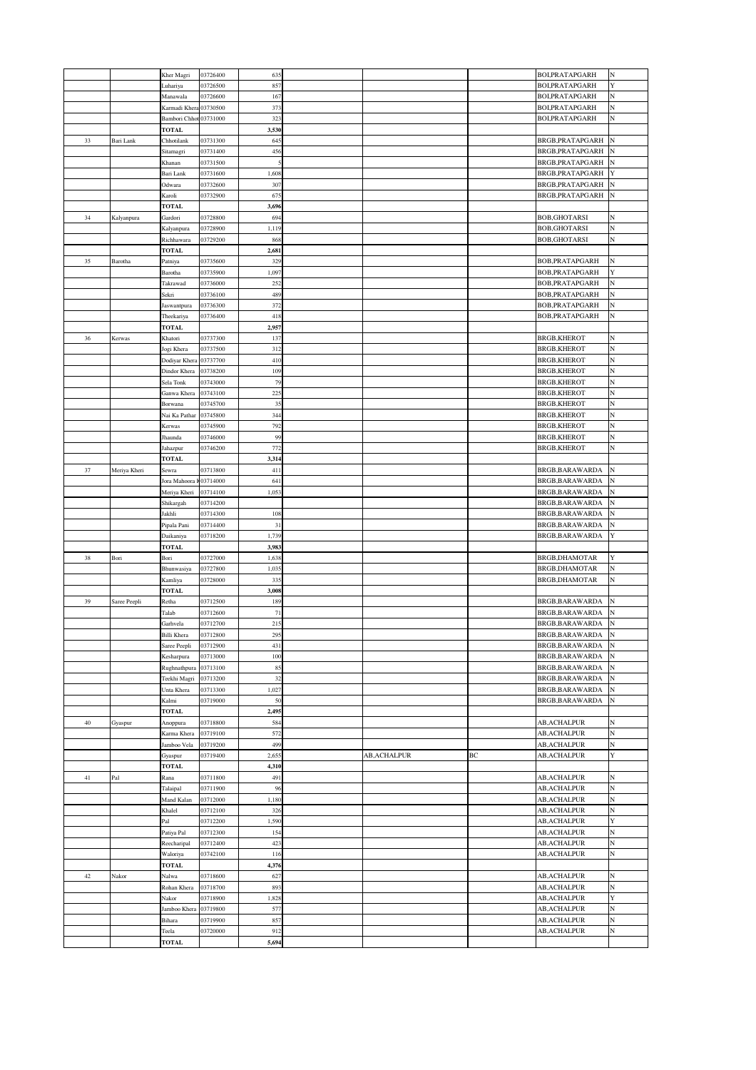|        |              | Kher Magri                 | 03726400             | 635            |                     |    | BOI, PRATAPGARH                            | N      |
|--------|--------------|----------------------------|----------------------|----------------|---------------------|----|--------------------------------------------|--------|
|        |              | Luhariya                   | 03726500             | 857            |                     |    | BOI, PRATAPGARH                            | Y      |
|        |              | Manawala                   | 03726600             | 167            |                     |    | BOI, PRATAPGARH                            | N      |
|        |              | Karmadi Khera 03730500     |                      | 373            |                     |    | BOI, PRATAPGARH                            | N      |
|        |              | Bambori Chhot 03731000     |                      | 323            |                     |    | BOI, PRATAPGARH                            | N      |
| 33     | Bari Lank    | <b>TOTAL</b><br>Chhotilank | 03731300             | 3,530<br>645   |                     |    | BRGB, PRATAPGARH                           | N      |
|        |              | Sitamagri                  | 03731400             | 456            |                     |    | <b>BRGB, PRATAPGARH</b>                    |        |
|        |              | Khanan                     | 03731500             | 5              |                     |    | BRGB, PRATAPGARH                           |        |
|        |              | Bari Lank                  | 03731600             | 1,608          |                     |    | BRGB, PRATAPGARH                           | Y      |
|        |              | Odwara                     | 03732600             | 307            |                     |    | BRGB, PRATAPGARH                           | N      |
|        |              | Karoli                     | 03732900             | 675            |                     |    | BRGB, PRATAPGARH                           | N      |
|        |              | TOTAL                      |                      | 3,696          |                     |    |                                            |        |
| 34     | Kalyanpura   | Gardori                    | 03728800             | 694            |                     |    | <b>BOB,GHOTARSI</b>                        | N      |
|        |              | Kalyanpura                 | 03728900             | 1,119          |                     |    | <b>BOB,GHOTARSI</b>                        |        |
|        |              | Richhawara                 | 03729200             | 868            |                     |    | <b>BOB,GHOTARSI</b>                        | N      |
|        |              | <b>TOTAL</b>               |                      | 2,681          |                     |    |                                            | N      |
| 35     | Barotha      | Patniya<br>Barotha         | 03735600<br>03735900 | 329<br>1,097   |                     |    | BOB, PRATAPGARH<br>BOB, PRATAPGARH         | Y      |
|        |              | Takrawad                   | 03736000             | 252            |                     |    | BOB, PRATAPGARH                            | N      |
|        |              | Sekri                      | 03736100             | 489            |                     |    | BOB, PRATAPGARH                            | N      |
|        |              | Jaswantpura                | 03736300             | 372            |                     |    | BOB, PRATAPGARH                            | N      |
|        |              | Theekariya                 | 03736400             | 418            |                     |    | BOB, PRATAPGARH                            | N      |
|        |              | <b>TOTAL</b>               |                      | 2,957          |                     |    |                                            |        |
| 36     | Kerwas       | Khatori                    | 03737300             | 137            |                     |    | <b>BRGB,KHEROT</b>                         | N      |
|        |              | Jogi Khera                 | 03737500             | 312            |                     |    | <b>BRGB,KHEROT</b>                         | N      |
|        |              | Dodiyar Khera              | 03737700             | 410            |                     |    | <b>BRGB,KHEROT</b>                         | N      |
|        |              | Dindor Khera               | 03738200             | 109            |                     |    | <b>BRGB,KHEROT</b>                         | N      |
|        |              | Sela Tonk                  | 03743000<br>03743100 | 79<br>225      |                     |    | <b>BRGB,KHEROT</b><br><b>BRGB,KHEROT</b>   | N<br>N |
|        |              | Ganwa Khera<br>Borwana     | 03745700             | 35             |                     |    | <b>BRGB,KHEROT</b>                         | N      |
|        |              | Nai Ka Pathar              | 03745800             | 344            |                     |    | <b>BRGB,KHEROT</b>                         | N      |
|        |              | Kerwas                     | 03745900             | 792            |                     |    | <b>BRGB,KHEROT</b>                         | N      |
|        |              | Jhaunda                    | 03746000             | 99             |                     |    | <b>BRGB,KHEROT</b>                         | N      |
|        |              | Jahazpur                   | 03746200             | 772            |                     |    | <b>BRGB,KHEROT</b>                         | N      |
|        |              | <b>TOTAL</b>               |                      | 3,314          |                     |    |                                            |        |
| 37     | Meriya Kheri | Sewra                      | 03713800             | 411            |                     |    | BRGB,BARAWARDA                             | N      |
|        |              | Jora Mahoora K03714000     |                      | 641            |                     |    | BRGB, BARAWARDA                            | N      |
|        |              | Meriya Kheri               | 03714100             | 1,053          |                     |    | BRGB, BARAWARDA                            | N      |
|        |              | Shikargah<br>Jakhli        | 03714200<br>03714300 | 108            |                     |    | BRGB, BARAWARDA<br>BRGB, BARAWARDA         | N      |
|        |              | Pipala Pani                | 03714400             | 31             |                     |    | BRGB, BARAWARDA                            | N      |
|        |              | Daikaniya                  | 03718200             | 1,739          |                     |    | BRGB, BARAWARDA                            | Y      |
|        |              | <b>TOTAL</b>               |                      | 3,983          |                     |    |                                            |        |
| 38     | Bori         | Bori                       | 03727000             | 1,638          |                     |    | BRGB, DHAMOTAR                             | Y      |
|        |              | Bhunwasiya                 | 03727800             | 1,035          |                     |    | BRGB, DHAMOTAR                             | N      |
|        |              | Kamliya                    | 03728000             | 335            |                     |    | BRGB, DHAMOTAR                             | N      |
|        |              | <b>TOTAL</b>               |                      | 3,008          |                     |    |                                            |        |
| 39     | Saree Peepli | Retha                      | 03712500             | 189            |                     |    | BRGB, BARAWARDA                            | N      |
|        |              | Talab                      | 03712600             | 71             |                     |    | BRGB, BARAWARDA                            | N      |
|        |              | Garhvela<br>Billi Khera    | 03712700<br>03712800 | 215<br>295     |                     |    | BRGB, BARAWARDA<br>BRGB, BARAWARDA         | N<br>N |
|        |              | Saree Peepli               | 03712900             | 431            |                     |    | BRGB, BARAWARDA                            | N      |
|        |              | Kesharpura                 | 03713000             | 100            |                     |    | BRGB, BARAWARDA                            | N      |
|        |              | Rughnathpura 03713100      |                      | 85             |                     |    | BRGB, BARAWARDA                            | N      |
|        |              | Teekhi Magri               | 03713200             | 32             |                     |    | BRGB, BARAWARDA                            |        |
|        |              | Unta Khera                 | 03713300             | 1,027          |                     |    | BRGB, BARAWARDA                            | N      |
|        |              | Kalmi                      | 03719000             | 50             |                     |    | BRGB, BARAWARDA                            | N      |
|        |              | <b>TOTAL</b>               |                      | 2,495          |                     |    |                                            |        |
| $40\,$ | Gyaspur      | Anoppura                   | 03718800             | 584            |                     |    | AB,ACHALPUR                                | N      |
|        |              | Karma Khera                | 03719100             | 572            |                     |    | AB,ACHALPUR                                | N      |
|        |              | Jamboo Vela                | 03719200             | 499            | <b>AB, ACHALPUR</b> |    | AB,ACHALPUR                                | N<br>Y |
|        |              | Gyaspur<br><b>TOTAL</b>    | 03719400             | 2,655<br>4,310 |                     | BC | AB,ACHALPUR                                |        |
| $41\,$ | Pal          | Rana                       | 03711800             | 491            |                     |    | <b>AB, ACHALPUR</b>                        | N      |
|        |              | Talaipal                   | 03711900             | 96             |                     |    | <b>AB, ACHALPUR</b>                        | N      |
|        |              | Mand Kalan                 | 03712000             | 1,180          |                     |    | <b>AB, ACHALPUR</b>                        | N      |
|        |              | Khalel                     | 03712100             | 326            |                     |    | <b>AB, ACHALPUR</b>                        | N      |
|        |              | Pal                        | 03712200             | 1,590          |                     |    | AB,ACHALPUR                                | Y      |
|        |              | Patiya Pal                 | 03712300             | 154            |                     |    | AB,ACHALPUR                                | N      |
|        |              | Reecharipal                | 03712400             | 423            |                     |    | <b>AB, ACHALPUR</b>                        | N      |
|        |              | Waloriya                   | 03742100             | 116            |                     |    | AB,ACHALPUR                                | N      |
|        |              | <b>TOTAL</b>               |                      | 4,376          |                     |    |                                            |        |
| $42\,$ | Nakor        | Nalwa                      | 03718600<br>03718700 | 627<br>893     |                     |    | <b>AB, ACHALPUR</b><br><b>AB, ACHALPUR</b> | N<br>N |
|        |              | Rohan Khera<br>Nakor       | 03718900             | 1,828          |                     |    | AB,ACHALPUR                                | Y      |
|        |              | Jamboo Khera 03719800      |                      | 577            |                     |    | AB,ACHALPUR                                | N      |
|        |              | Bihara                     | 03719900             | 857            |                     |    | <b>AB, ACHALPUR</b>                        | N      |
|        |              | Teela                      | 03720000             | 912            |                     |    | <b>AB, ACHALPUR</b>                        | N      |
|        |              | <b>TOTAL</b>               |                      | 5,694          |                     |    |                                            |        |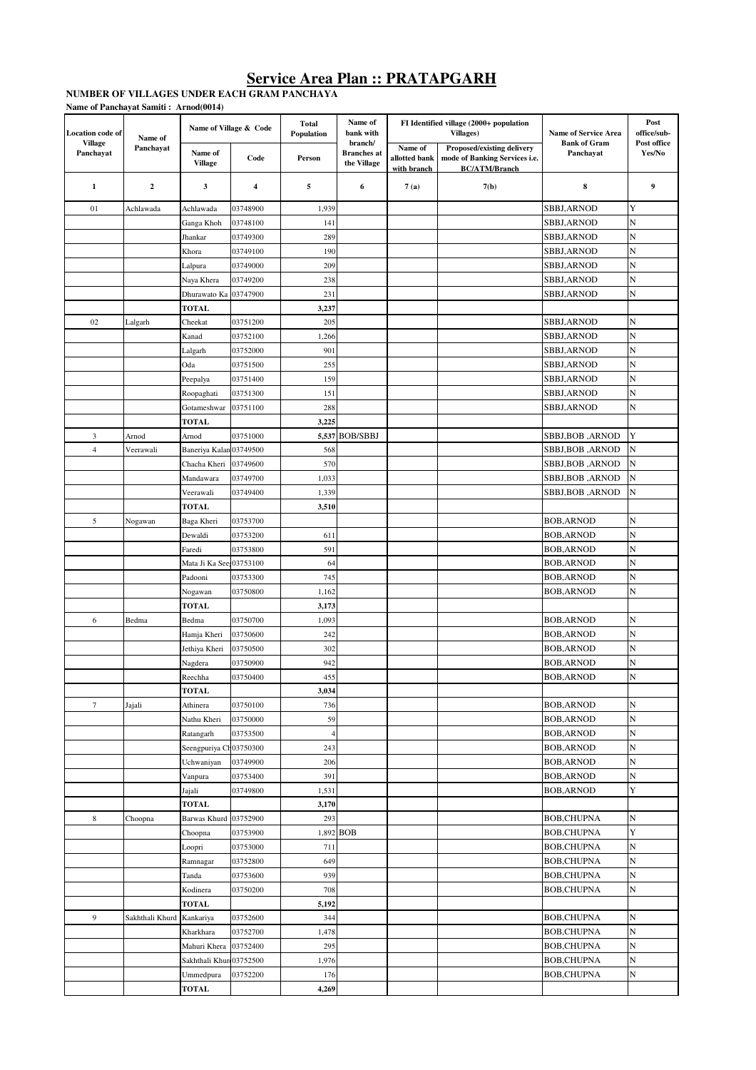#### **NUMBER OF VILLAGES UNDER EACH GRAM PANCHAYAT Name of Panchayat Samiti : Arnod(0014)**

| Location code of            | Name of         |                           | Name of Village & Code | <b>Total</b><br>Population | Name of<br>bank with                         |                                         | FI Identified village (2000+ population<br><b>Villages</b> )                        | <b>Name of Service Area</b>            | Post<br>office/sub-   |
|-----------------------------|-----------------|---------------------------|------------------------|----------------------------|----------------------------------------------|-----------------------------------------|-------------------------------------------------------------------------------------|----------------------------------------|-----------------------|
| <b>Village</b><br>Panchayat | Panchayat       | Name of<br><b>Village</b> | Code                   | Person                     | branch/<br><b>Branches</b> at<br>the Village | Name of<br>allotted bank<br>with branch | Proposed/existing delivery<br>mode of Banking Services i.e.<br><b>BC/ATM/Branch</b> | <b>Bank of Gram</b><br>Panchayat       | Post office<br>Yes/No |
| 1                           | $\mathbf 2$     | 3                         | 4                      | 5                          | 6                                            | 7(a)                                    | 7(b)                                                                                | 8                                      | 9                     |
| 01                          | Achlawada       | Achlawada                 | 03748900               | 1,939                      |                                              |                                         |                                                                                     | SBBJ, ARNOD                            | Y                     |
|                             |                 | Ganga Khoh                | 03748100               | 141                        |                                              |                                         |                                                                                     | SBBJ, ARNOD                            | N                     |
|                             |                 | Jhankar                   | 03749300               | 289                        |                                              |                                         |                                                                                     | SBBJ, ARNOD                            | N                     |
|                             |                 | Khora                     | 03749100               | 190                        |                                              |                                         |                                                                                     | SBBJ, ARNOD                            | N                     |
|                             |                 | Lalpura                   | 03749000               | 209                        |                                              |                                         |                                                                                     | SBBJ, ARNOD                            | N                     |
|                             |                 | Naya Khera                | 03749200               | 238                        |                                              |                                         |                                                                                     | SBBJ, ARNOD                            | N                     |
|                             |                 | Dhurawato Ka              | 03747900               | 231                        |                                              |                                         |                                                                                     | SBBJ,ARNOD                             | N                     |
|                             |                 | <b>TOTAL</b>              |                        | 3,237                      |                                              |                                         |                                                                                     |                                        |                       |
| 02                          | Lalgarh         | Cheekat                   | 03751200               | 205                        |                                              |                                         |                                                                                     | SBBJ, ARNOD                            | N                     |
|                             |                 | Kanad                     | 03752100               | 1,266                      |                                              |                                         |                                                                                     | SBBJ,ARNOD                             | N                     |
|                             |                 | Lalgarh                   | 03752000               | 901                        |                                              |                                         |                                                                                     | SBBJ, ARNOD                            | N                     |
|                             |                 | Oda                       | 03751500               | 255                        |                                              |                                         |                                                                                     | <b>SBBJ, ARNOD</b>                     | N                     |
|                             |                 | Peepalya                  | 03751400               | 159                        |                                              |                                         |                                                                                     | <b>SBBJ, ARNOD</b>                     | N                     |
|                             |                 | Roopaghati                | 03751300               | 151                        |                                              |                                         |                                                                                     | SBBJ, ARNOD                            | N                     |
|                             |                 | Gotameshwar               | 03751100               | 288                        |                                              |                                         |                                                                                     | SBBJ,ARNOD                             | N                     |
|                             |                 | <b>TOTAL</b>              |                        | 3,225                      |                                              |                                         |                                                                                     |                                        |                       |
| 3                           | Arnod           | Arnod                     | 03751000               | 5,537                      | <b>BOB/SBBJ</b>                              |                                         |                                                                                     | SBBJ,BOB ,ARNOD                        | Y                     |
| $\overline{4}$              | Veerawali       | Baneriya Kalan 03749500   |                        | 568                        |                                              |                                         |                                                                                     | SBBJ,BOB ,ARNOD                        | N                     |
|                             |                 | Chacha Kheri              | 03749600               | 570                        |                                              |                                         |                                                                                     | SBBJ,BOB, ARNOD                        | N                     |
|                             |                 | Mandawara                 | 03749700               | 1,033                      |                                              |                                         |                                                                                     | SBBJ,BOB ,ARNOD                        | N                     |
|                             |                 | Veerawali                 | 03749400               | 1,339                      |                                              |                                         |                                                                                     | SBBJ,BOB,ARNOD                         | N                     |
|                             |                 | <b>TOTAL</b>              |                        | 3,510                      |                                              |                                         |                                                                                     |                                        |                       |
| 5                           | Nogawan         | Baga Kheri                | 03753700               |                            |                                              |                                         |                                                                                     | <b>BOB, ARNOD</b>                      | N                     |
|                             |                 | Dewaldi                   | 03753200               | 611                        |                                              |                                         |                                                                                     | <b>BOB, ARNOD</b>                      | N                     |
|                             |                 | Faredi                    | 03753800               | 591                        |                                              |                                         |                                                                                     | BOB,ARNOD                              | N                     |
|                             |                 | Mata Ji Ka See 03753100   |                        | 64                         |                                              |                                         |                                                                                     | <b>BOB, ARNOD</b>                      | N                     |
|                             |                 | Padooni                   | 03753300               | 745                        |                                              |                                         |                                                                                     | <b>BOB, ARNOD</b>                      | N                     |
|                             |                 | Nogawan                   | 03750800               | 1,162                      |                                              |                                         |                                                                                     | <b>BOB, ARNOD</b>                      | N                     |
|                             |                 | <b>TOTAL</b>              |                        | 3,173                      |                                              |                                         |                                                                                     |                                        |                       |
| 6                           | Bedma           | Bedma                     | 03750700               | 1,093                      |                                              |                                         |                                                                                     | <b>BOB, ARNOD</b>                      | N                     |
|                             |                 | Hamja Kheri               | 03750600               | 242                        |                                              |                                         |                                                                                     | <b>BOB, ARNOD</b>                      | N                     |
|                             |                 | Jethiya Kheri             | 03750500               | 302                        |                                              |                                         |                                                                                     | <b>BOB, ARNOD</b>                      | N                     |
|                             |                 | Nagdera                   | 03750900               | 942                        |                                              |                                         |                                                                                     | <b>BOB, ARNOD</b>                      | N                     |
|                             |                 | Reechha                   | 03750400               | 455                        |                                              |                                         |                                                                                     | <b>BOB,ARNOD</b>                       | N                     |
|                             |                 | <b>TOTAL</b>              |                        | 3,034                      |                                              |                                         |                                                                                     |                                        |                       |
| $\tau$                      | Jajali          | Athinera                  | 03750100               | 736                        |                                              |                                         |                                                                                     | <b>BOB, ARNOD</b>                      | N                     |
|                             |                 | Nathu Kheri               | 03750000               | 59                         |                                              |                                         |                                                                                     | <b>BOB, ARNOD</b>                      | N                     |
|                             |                 | Ratangarh                 | 03753500               | $\overline{4}$             |                                              |                                         |                                                                                     | <b>BOB, ARNOD</b><br><b>BOB, ARNOD</b> | N<br>N                |
|                             |                 | Seengpuriya Ch03750300    | 03749900               | 243<br>206                 |                                              |                                         |                                                                                     | <b>BOB, ARNOD</b>                      | N                     |
|                             |                 | Uchwaniyan<br>Vanpura     | 03753400               | 391                        |                                              |                                         |                                                                                     | <b>BOB, ARNOD</b>                      | N                     |
|                             |                 | Jajali                    | 03749800               | 1,531                      |                                              |                                         |                                                                                     | <b>BOB, ARNOD</b>                      | Y                     |
|                             |                 | <b>TOTAL</b>              |                        | 3,170                      |                                              |                                         |                                                                                     |                                        |                       |
| 8                           | Choopna         | Barwas Khurd              | 03752900               | 293                        |                                              |                                         |                                                                                     | <b>BOB,CHUPNA</b>                      | N                     |
|                             |                 | Choopna                   | 03753900               |                            | 1,892 BOB                                    |                                         |                                                                                     | <b>BOB,CHUPNA</b>                      | Y                     |
|                             |                 | Loopri                    | 03753000               | 711                        |                                              |                                         |                                                                                     | <b>BOB,CHUPNA</b>                      | N                     |
|                             |                 | Ramnagar                  | 03752800               | 649                        |                                              |                                         |                                                                                     | <b>BOB,CHUPNA</b>                      | N                     |
|                             |                 | Tanda                     | 03753600               | 939                        |                                              |                                         |                                                                                     | BOB,CHUPNA                             | N                     |
|                             |                 | Kodinera                  | 03750200               | 708                        |                                              |                                         |                                                                                     | BOB,CHUPNA                             | N                     |
|                             |                 | <b>TOTAL</b>              |                        | 5,192                      |                                              |                                         |                                                                                     |                                        |                       |
| 9                           | Sakhthali Khurd | Kankariya                 | 03752600               | 344                        |                                              |                                         |                                                                                     | <b>BOB,CHUPNA</b>                      | N                     |
|                             |                 | Kharkhara                 | 03752700               | 1,478                      |                                              |                                         |                                                                                     | BOB,CHUPNA                             | N                     |
|                             |                 | Mahuri Khera              | 03752400               | 295                        |                                              |                                         |                                                                                     | BOB,CHUPNA                             | N                     |
|                             |                 | Sakhthali Khur 03752500   |                        | 1,976                      |                                              |                                         |                                                                                     | BOB,CHUPNA                             | N                     |
|                             |                 | Ummedpura                 | 03752200               | 176                        |                                              |                                         |                                                                                     | <b>BOB,CHUPNA</b>                      | N                     |
|                             |                 | <b>TOTAL</b>              |                        | 4,269                      |                                              |                                         |                                                                                     |                                        |                       |
|                             |                 |                           |                        |                            |                                              |                                         |                                                                                     |                                        |                       |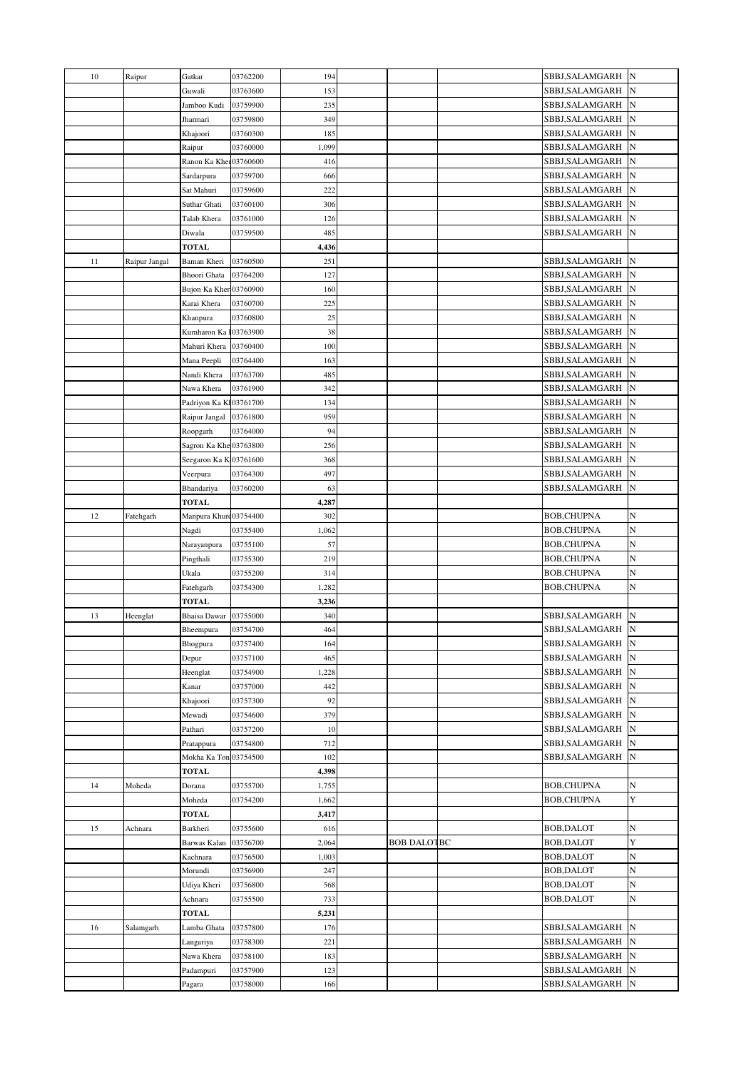| 10 | Raipur        | Gatkar                 | 03762200  | 194   |                    | SBBJ, SALAMGARH N |             |
|----|---------------|------------------------|-----------|-------|--------------------|-------------------|-------------|
|    |               | Guwali                 | 03763600  | 153   |                    | SBBJ,SALAMGARH    | ${\bf N}$   |
|    |               | Jamboo Kudi            | 03759900  | 235   |                    | SBBJ, SALAMGARH   | ${\bf N}$   |
|    |               | Jharmari               | 03759800  | 349   |                    | SBBJ, SALAMGARH   | $\mathbf N$ |
|    |               | Khajoori               | 03760300  | 185   |                    | SBBJ,SALAMGARH    | ${\bf N}$   |
|    |               | Raipur                 | 03760000  | 1,099 |                    | SBBJ, SALAMGARH   | N           |
|    |               | Ranon Ka Kher03760600  |           | 416   |                    | SBBJ,SALAMGARH    | N           |
|    |               | Sardarpura             | 03759700  | 666   |                    | SBBJ,SALAMGARH    | $\mathbb N$ |
|    |               | Sat Mahuri             | 03759600  | 222   |                    | SBBJ,SALAMGARH    | ${\bf N}$   |
|    |               | Suthar Ghati           | 03760100  | 306   |                    | SBBJ,SALAMGARH    | ${\bf N}$   |
|    |               | Talab Khera            | 03761000  | 126   |                    | SBBJ, SALAMGARH   | N           |
|    |               | Diwala                 | 03759500  | 485   |                    | SBBJ,SALAMGARH    | ${\bf N}$   |
|    |               | <b>TOTAL</b>           |           | 4,436 |                    |                   |             |
| 11 | Raipur Jangal | Baman Kheri            | 03760500  | 251   |                    | SBBJ,SALAMGARH    | ${\bf N}$   |
|    |               | Bhoori Ghata           | 03764200  | 127   |                    | SBBJ,SALAMGARH    | N           |
|    |               | Bujon Ka Kher 03760900 |           | 160   |                    | SBBJ,SALAMGARH    | N           |
|    |               | Karai Khera            | 03760700  | 225   |                    | SBBJ,SALAMGARH    | ${\bf N}$   |
|    |               | Khanpura               | 03760800  | 25    |                    | SBBJ, SALAMGARH   | $\mathbf N$ |
|    |               | Kumharon Ka            | 103763900 | 38    |                    | SBBJ, SALAMGARH   | N           |
|    |               | Mahuri Khera           | 03760400  | 100   |                    | SBBJ, SALAMGARH   | N           |
|    |               | Mana Peepli            | 03764400  | 163   |                    | SBBJ,SALAMGARH    | ${\bf N}$   |
|    |               | Nandi Khera            | 03763700  | 485   |                    | SBBJ,SALAMGARH    | ${\bf N}$   |
|    |               | Nawa Khera             | 03761900  | 342   |                    | SBBJ,SALAMGARH    | $\mathbb N$ |
|    |               | Padriyon Ka Kl03761700 |           | 134   |                    | SBBJ,SALAMGARH    | $\mathbf N$ |
|    |               | Raipur Jangal          | 03761800  | 959   |                    | SBBJ, SALAMGARH   | ${\bf N}$   |
|    |               | Roopgarh               | 03764000  | 94    |                    | SBBJ, SALAMGARH   | $\mathbf N$ |
|    |               | Sagron Ka Khe 03763800 |           | 256   |                    | SBBJ,SALAMGARH    | N           |
|    |               | Seegaron Ka K 03761600 |           | 368   |                    | SBBJ,SALAMGARH    | $\mathbf N$ |
|    |               | Veerpura               | 03764300  | 497   |                    | SBBJ,SALAMGARH    | $\mathbf N$ |
|    |               | Bhandariya             | 03760200  | 63    |                    | SBBJ,SALAMGARH    | $\mathbf N$ |
|    |               | <b>TOTAL</b>           |           | 4,287 |                    |                   |             |
| 12 | Fatehgarh     | Manpura Khurc03754400  |           | 302   |                    | <b>BOB,CHUPNA</b> | N           |
|    |               | Nagdi                  | 03755400  | 1,062 |                    | <b>BOB,CHUPNA</b> | N           |
|    |               | Narayanpura            | 03755100  | 57    |                    | <b>BOB,CHUPNA</b> | N           |
|    |               | Pingthali              | 03755300  | 219   |                    | BOB,CHUPNA        | N           |
|    |               | Ukala                  | 03755200  | 314   |                    | BOB,CHUPNA        | $\mathbf N$ |
|    |               | Fatehgarh              | 03754300  | 1,282 |                    | BOB,CHUPNA        | N           |
|    |               | <b>TOTAL</b>           |           | 3,236 |                    |                   |             |
| 13 | Heenglat      | <b>Bhaisa Dawar</b>    | 03755000  | 340   |                    | SBBJ,SALAMGARH    | $\mathbf N$ |
|    |               | Bheempura              | 03754700  | 464   |                    | SBBJ, SALAMGARH   | ${\bf N}$   |
|    |               | Bhogpura               | 03757400  | 164   |                    | SBBJ, SALAMGARH N |             |
|    |               | Depur                  | 03757100  | 465   |                    | SBBJ,SALAMGARH    | $\mathbf N$ |
|    |               | Heenglat               | 03754900  | 1,228 |                    | SBBJ,SALAMGARH    | N           |
|    |               | Kanar                  | 03757000  | 442   |                    | SBBJ, SALAMGARH   | ${\bf N}$   |
|    |               | Khajoori               | 03757300  | 92    |                    | SBBJ, SALAMGARH   | ${\bf N}$   |
|    |               | Mewadi                 | 03754600  | 379   |                    | SBBJ, SALAMGARH   | ${\bf N}$   |
|    |               | Pathari                | 03757200  | 10    |                    | SBBJ, SALAMGARH   | ${\bf N}$   |
|    |               | Pratappura             | 03754800  | 712   |                    | SBBJ, SALAMGARH   | ${\bf N}$   |
|    |               | Mokha Ka Ton           | 03754500  | 102   |                    | SBBJ, SALAMGARH   | $\mathbf N$ |
|    |               | <b>TOTAL</b>           |           | 4,398 |                    |                   |             |
| 14 | Moheda        | Dorana                 | 03755700  | 1,755 |                    | <b>BOB,CHUPNA</b> | N           |
|    |               | Moheda                 | 03754200  | 1,662 |                    | <b>BOB,CHUPNA</b> | Y           |
|    |               | <b>TOTAL</b>           |           | 3,417 |                    |                   |             |
| 15 | Achnara       | Barkheri               | 03755600  | 616   |                    | <b>BOB, DALOT</b> | N           |
|    |               | Barwas Kalan           | 03756700  | 2,064 | <b>BOB DALOTBC</b> | <b>BOB, DALOT</b> | Y           |
|    |               | Kachnara               | 03756500  | 1,003 |                    | BOB, DALOT        | N           |
|    |               | Morundi                | 03756900  | 247   |                    | <b>BOB, DALOT</b> | N           |
|    |               | Udiya Kheri            | 03756800  | 568   |                    | BOB, DALOT        | N           |
|    |               | Achnara                | 03755500  | 733   |                    | <b>BOB, DALOT</b> | N           |
|    |               | <b>TOTAL</b>           |           | 5,231 |                    |                   |             |
| 16 | Salamgarh     | Lamba Ghata            | 03757800  | 176   |                    | SBBJ,SALAMGARH    | ${\bf N}$   |
|    |               | Langariya              | 03758300  | 221   |                    | SBBJ, SALAMGARH   | N           |
|    |               | Nawa Khera             | 03758100  | 183   |                    | SBBJ, SALAMGARH   | N           |
|    |               | Padampuri              | 03757900  | 123   |                    | SBBJ, SALAMGARH   | N           |
|    |               | Pagara                 | 03758000  | 166   |                    | SBBJ,SALAMGARH    | $\mathbf N$ |
|    |               |                        |           |       |                    |                   |             |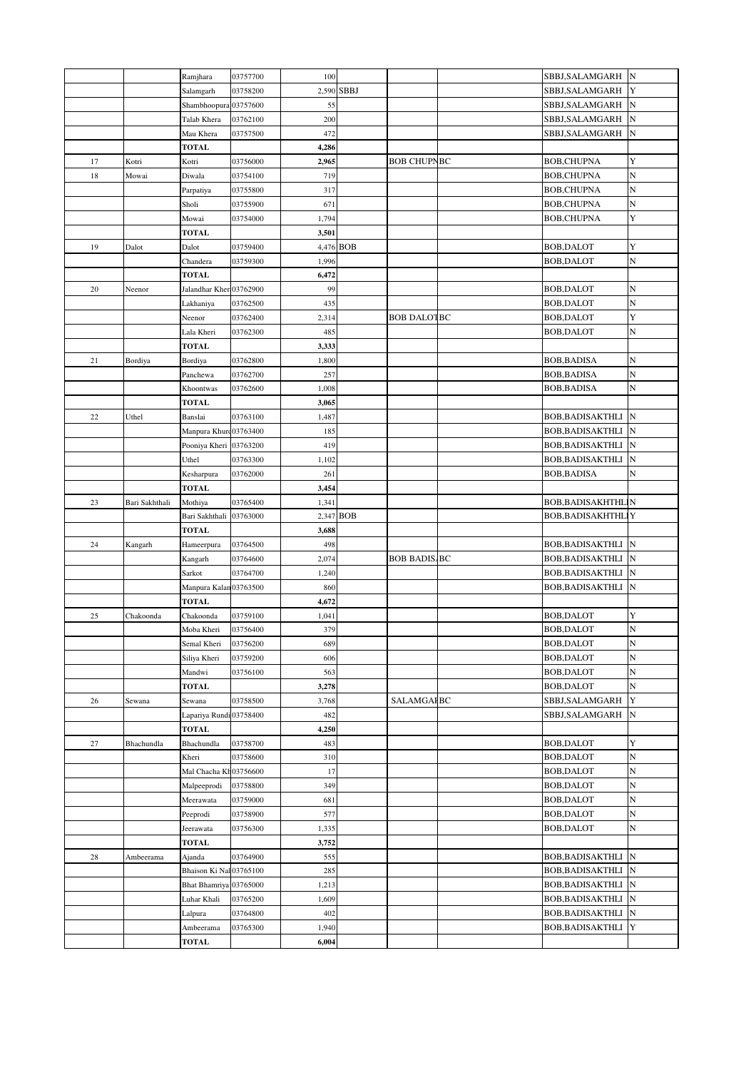|        |                | Ramjhara                | 03757700 | 100   |            |                     | SBBJ, SALAMGARH           | ${\bf N}$   |
|--------|----------------|-------------------------|----------|-------|------------|---------------------|---------------------------|-------------|
|        |                | Salamgarh               | 03758200 |       | 2,590 SBBJ |                     | SBBJ,SALAMGARH            | Y           |
|        |                | Shambhoopura 03757600   |          | 55    |            |                     | SBBJ, SALAMGARH           | ${\bf N}$   |
|        |                | Talab Khera             | 03762100 | 200   |            |                     | SBBJ, SALAMGARH           | ${\bf N}$   |
|        |                | Mau Khera               | 03757500 | 472   |            |                     | SBBJ, SALAMGARH           | ${\bf N}$   |
|        |                | <b>TOTAL</b>            |          | 4,286 |            |                     |                           |             |
| 17     | Kotri          | Kotri                   | 03756000 | 2,965 |            | <b>BOB CHUPNBC</b>  | <b>BOB,CHUPNA</b>         | Y           |
| 18     | Mowai          | Diwala                  | 03754100 | 719   |            |                     | <b>BOB,CHUPNA</b>         | $\mathbf N$ |
|        |                | Parpatiya               | 03755800 | 317   |            |                     | <b>BOB,CHUPNA</b>         | $\,$ N      |
|        |                | Sholi                   | 03755900 | 671   |            |                     | <b>BOB, CHUPNA</b>        | N           |
|        |                | Mowai                   | 03754000 | 1,794 |            |                     | <b>BOB,CHUPNA</b>         | Y           |
|        |                | <b>TOTAL</b>            |          | 3,501 |            |                     |                           |             |
| 19     | Dalot          | Dalot                   | 03759400 |       | 4,476 BOB  |                     | BOB, DALOT                | Y           |
|        |                | Chandera                | 03759300 | 1,996 |            |                     | BOB, DALOT                | $\,$ N      |
|        |                | <b>TOTAL</b>            |          | 6,472 |            |                     |                           |             |
| 20     | Neenor         | Jalandhar Kher 03762900 |          | 99    |            |                     | <b>BOB, DALOT</b>         | N           |
|        |                | Lakhaniya               | 03762500 | 435   |            |                     | BOB, DALOT                | N           |
|        |                | Neenor                  | 03762400 | 2,314 |            | <b>BOB DALOTBC</b>  | BOB, DALOT                | Y           |
|        |                | Lala Kheri              | 03762300 | 485   |            |                     | BOB, DALOT                | N           |
|        |                | <b>TOTAL</b>            |          | 3,333 |            |                     |                           |             |
| 21     | Bordiya        | Bordiya                 | 03762800 | 1,800 |            |                     | <b>BOB, BADISA</b>        | N           |
|        |                | Panchewa                | 03762700 | 257   |            |                     | BOB, BADISA               | $\,$ N      |
|        |                | Khoontwas               | 03762600 | 1,008 |            |                     | BOB, BADISA               | N           |
|        |                | <b>TOTAL</b>            |          | 3,065 |            |                     |                           |             |
| $22\,$ | Uthel          | Banslai                 | 03763100 | 1,487 |            |                     | BOB, BADISAKTHLI          | $\mathbf N$ |
|        |                | Manpura Khurc03763400   |          | 185   |            |                     | BOB, BADISAKTHLI          | ${\bf N}$   |
|        |                | Pooniya Kheri 03763200  |          | 419   |            |                     | BOB, BADISAKTHLI          | ${\bf N}$   |
|        |                | Uthel                   | 03763300 | 1,102 |            |                     | BOB, BADISAKTHLI          | ${\bf N}$   |
|        |                | Kesharpura              | 03762000 | 261   |            |                     | BOB,BADISA                | N           |
|        |                | TOTAL                   |          | 3,454 |            |                     |                           |             |
| 23     | Bari Sakhthali | Mothiya                 | 03765400 | 1,341 |            |                     | BOB, BADISAKHTHL N        |             |
|        |                | Bari Sakhthali          | 03763000 |       | 2,347 BOB  |                     | BOB, BADISAKHTHLIY        |             |
|        |                | <b>TOTAL</b>            |          | 3,688 |            |                     |                           |             |
| 24     | Kangarh        | Hameerpura              | 03764500 | 498   |            |                     | <b>BOB, BADISAKTHLI</b> N |             |
|        |                | Kangarh                 | 03764600 | 2,074 |            | <b>BOB BADIS BC</b> | BOB, BADISAKTHLI          | $\mathbf N$ |
|        |                | Sarkot                  | 03764700 | 1,240 |            |                     | <b>BOB, BADISAKTHLI</b>   | $\mathbb N$ |
|        |                | Manpura Kalan 03763500  |          | 860   |            |                     | BOB, BADISAKTHLI          | ${\bf N}$   |
|        |                | TOTAL                   |          | 4,672 |            |                     |                           |             |
| 25     | Chakoonda      | Chakoonda               | 03759100 | 1,041 |            |                     | BOB, DALOT                | Y           |
|        |                | Moba Kheri              | 03756400 | 379   |            |                     | BOB, DALOT                | $\,$ N      |
|        |                | Semal Kheri             | 03756200 | 689   |            |                     | <b>BOB, DALOT</b>         | ${\bf N}$   |
|        |                | Siliya Kheri            | 03759200 | 606   |            |                     | BOB, DALOT                | N           |
|        |                | Mandwi                  | 03756100 | 563   |            |                     | BOB, DALOT                | $\,$ N      |
|        |                | TOTAL                   |          | 3,278 |            |                     | BOB, DALOT                | $\mathbf N$ |
| 26     | Sewana         | Sewana                  | 03758500 | 3,768 |            | <b>SALAMGAI BC</b>  | SBBJ, SALAMGARH           | Y           |
|        |                | Lapariya Rundi 03758400 |          | 482   |            |                     | SBBJ, SALAMGARH           | ${\bf N}$   |
|        |                | <b>TOTAL</b>            |          | 4,250 |            |                     |                           |             |
| 27     | Bhachundla     | Bhachundla              | 03758700 | 483   |            |                     | <b>BOB, DALOT</b>         | Y           |
|        |                | Kheri                   | 03758600 | 310   |            |                     | BOB, DALOT                | N           |
|        |                | Mal Chacha Kh03756600   |          | 17    |            |                     | <b>BOB, DALOT</b>         | N           |
|        |                |                         |          |       |            |                     | BOB, DALOT                | N           |
|        |                | Malpeeprodi             | 03758800 | 349   |            |                     |                           |             |
|        |                | Meerawata               | 03759000 | 681   |            |                     | BOB, DALOT                | N           |
|        |                | Peeprodi                | 03758900 | 577   |            |                     | BOB, DALOT                | N           |
|        |                | Jeerawata               | 03756300 | 1,335 |            |                     | BOB, DALOT                | N           |
|        |                | <b>TOTAL</b>            |          | 3,752 |            |                     |                           |             |
| 28     | Ambeerama      | Ajanda                  | 03764900 | 555   |            |                     | BOB, BADISAKTHLI          | N           |
|        |                | Bhaison Ki Nal 03765100 |          | 285   |            |                     | BOB, BADISAKTHLI          | $\mathbf N$ |
|        |                | Bhat Bhamriya 03765000  |          | 1,213 |            |                     | BOB, BADISAKTHLI          | $\mathbf N$ |
|        |                | Luhar Khali             | 03765200 | 1,609 |            |                     | BOB, BADISAKTHLI          | $\mathbf N$ |
|        |                | Lalpura                 | 03764800 | 402   |            |                     | BOB, BADISAKTHLI          | ${\bf N}$   |
|        |                | Ambeerama               | 03765300 | 1,940 |            |                     | BOB, BADISAKTHLI          | Y           |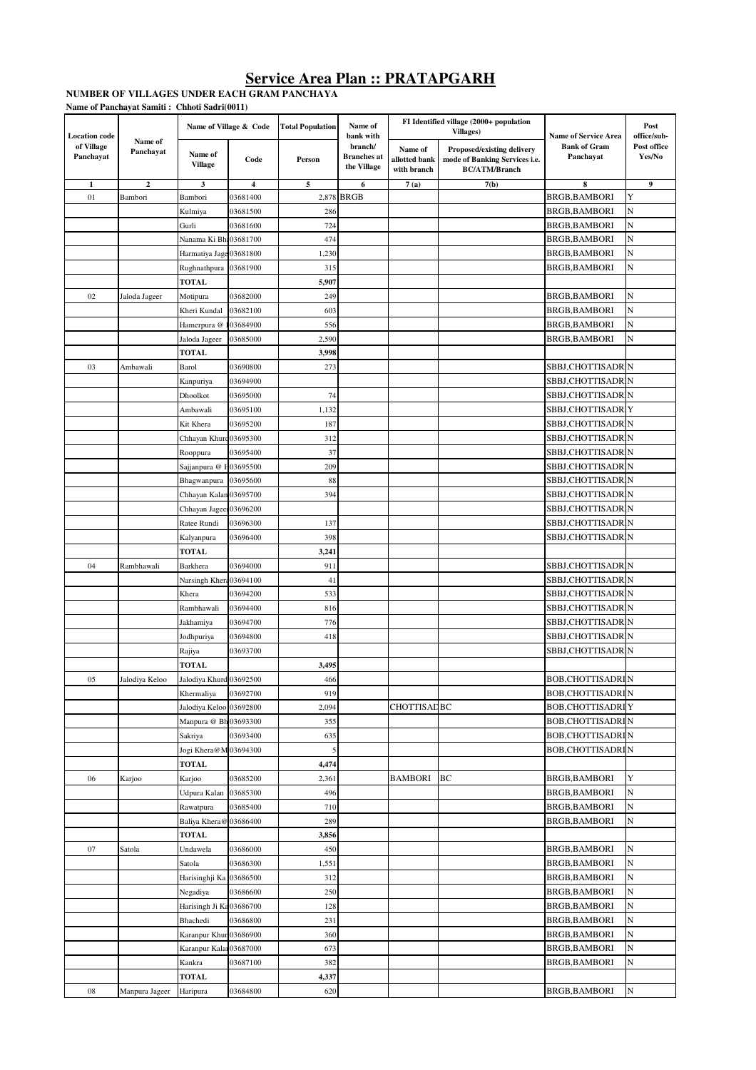#### **NUMBER OF VILLAGES UNDER EACH GRAM PANCHAYAT Name of Panchayat Samiti : Chhoti Sadri(0011)**

| <b>Location</b> code    | Name of<br>Panchayat | Name of Village & Code    |           | <b>Total Population</b> | Name of<br>bank with                                                                                                                                                           |                                  | FI Identified village (2000+ population<br>Villages) | <b>Name of Service Area</b> | Post<br>office/sub- |
|-------------------------|----------------------|---------------------------|-----------|-------------------------|--------------------------------------------------------------------------------------------------------------------------------------------------------------------------------|----------------------------------|------------------------------------------------------|-----------------------------|---------------------|
| of Village<br>Panchayat |                      | Name of<br><b>Village</b> | Code      | Person                  | branch/<br>Name of<br>Proposed/existing delivery<br><b>Branches</b> at<br>mode of Banking Services i.e.<br>allotted bank<br>the Village<br>with branch<br><b>BC/ATM/Branch</b> | <b>Bank of Gram</b><br>Panchayat | Post office<br>Yes/No                                |                             |                     |
| 1                       | $\mathbf{2}$         | 3                         | 4         | 5                       | 6                                                                                                                                                                              | 7(a)                             | 7(b)                                                 | 8                           | $\boldsymbol{9}$    |
| 01                      | Bambori              | Bambori                   | 03681400  | 2,878                   | <b>BRGB</b>                                                                                                                                                                    |                                  |                                                      | <b>BRGB, BAMBORI</b>        | Y                   |
|                         |                      | Kulmiya                   | 03681500  | 286                     |                                                                                                                                                                                |                                  |                                                      | <b>BRGB, BAMBORI</b>        | N                   |
|                         |                      | Gurli                     | 03681600  | 724                     |                                                                                                                                                                                |                                  |                                                      | BRGB, BAMBORI               | N                   |
|                         |                      | Nanama Ki Bh: 03681700    |           | 474                     |                                                                                                                                                                                |                                  |                                                      | <b>BRGB, BAMBORI</b>        | N                   |
|                         |                      | Harmatiya Jage 03681800   |           | 1,230                   |                                                                                                                                                                                |                                  |                                                      | <b>BRGB, BAMBORI</b>        | N                   |
|                         |                      | Rughnathpura 03681900     |           | 315                     |                                                                                                                                                                                |                                  |                                                      | <b>BRGB, BAMBORI</b>        | N                   |
|                         |                      | <b>TOTAL</b>              |           | 5,907                   |                                                                                                                                                                                |                                  |                                                      |                             |                     |
| 02                      | Jaloda Jageer        | Motipura                  | 03682000  | 249                     |                                                                                                                                                                                |                                  |                                                      | <b>BRGB, BAMBORI</b>        | N                   |
|                         |                      | Kheri Kundal              | 03682100  | 603                     |                                                                                                                                                                                |                                  |                                                      | <b>BRGB, BAMBORI</b>        | N                   |
|                         |                      | Hamerpura @               | 103684900 | 556                     |                                                                                                                                                                                |                                  |                                                      | BRGB, BAMBORI               | N                   |
|                         |                      | Jaloda Jageer             | 03685000  | 2,590                   |                                                                                                                                                                                |                                  |                                                      | <b>BRGB, BAMBORI</b>        | N                   |
|                         |                      | <b>TOTAL</b>              |           | 3,998                   |                                                                                                                                                                                |                                  |                                                      |                             |                     |
| 03                      | Ambawali             | Barol                     | 03690800  | 273                     |                                                                                                                                                                                |                                  |                                                      | SBBJ,CHOTTISADRIN           |                     |
|                         |                      | Kanpuriya                 | 03694900  |                         |                                                                                                                                                                                |                                  |                                                      | SBBJ,CHOTTISADRIN           |                     |
|                         |                      | Dhoolkot                  | 03695000  | 74                      |                                                                                                                                                                                |                                  |                                                      | SBBJ,CHOTTISADRIN           |                     |
|                         |                      | Ambawali                  | 03695100  | 1,132                   |                                                                                                                                                                                |                                  |                                                      | SBBJ,CHOTTISADRIY           |                     |
|                         |                      | Kit Khera                 | 03695200  | 187                     |                                                                                                                                                                                |                                  |                                                      | SBBJ,CHOTTISADRIN           |                     |
|                         |                      | Chhayan Khurd 03695300    |           | 312                     |                                                                                                                                                                                |                                  |                                                      | SBBJ,CHOTTISADRIN           |                     |
|                         |                      | Rooppura                  | 03695400  | 37                      |                                                                                                                                                                                |                                  |                                                      | SBBJ,CHOTTISADRIN           |                     |
|                         |                      | Sajjanpura @ H03695500    |           | 209                     |                                                                                                                                                                                |                                  |                                                      | SBBJ,CHOTTISADRIN           |                     |
|                         |                      | Bhagwanpura               | 03695600  | 88                      |                                                                                                                                                                                |                                  |                                                      | SBBJ,CHOTTISADRIN           |                     |
|                         |                      | Chhayan Kalan 03695700    |           | 394                     |                                                                                                                                                                                |                                  |                                                      | SBBJ,CHOTTISADRIN           |                     |
|                         |                      |                           |           |                         |                                                                                                                                                                                |                                  |                                                      | SBBJ,CHOTTISADRIN           |                     |
|                         |                      | Chhayan Jageer 03696200   |           |                         |                                                                                                                                                                                |                                  |                                                      |                             |                     |
|                         |                      | Ratee Rundi               | 03696300  | 137                     |                                                                                                                                                                                |                                  |                                                      | SBBJ,CHOTTISADRIN           |                     |
|                         |                      | Kalyanpura                | 03696400  | 398                     |                                                                                                                                                                                |                                  |                                                      | SBBJ,CHOTTISADRIN           |                     |
|                         |                      | <b>TOTAL</b>              |           | 3,241                   |                                                                                                                                                                                |                                  |                                                      |                             |                     |
| 04                      | Rambhawali           | Barkhera                  | 03694000  | 911                     |                                                                                                                                                                                |                                  |                                                      | SBBJ,CHOTTISADRIN           |                     |
|                         |                      | Narsingh Khera 03694100   |           | 41                      |                                                                                                                                                                                |                                  |                                                      | SBBJ,CHOTTISADRIN           |                     |
|                         |                      | Khera                     | 03694200  | 533                     |                                                                                                                                                                                |                                  |                                                      | SBBJ,CHOTTISADRIN           |                     |
|                         |                      | Rambhawali                | 03694400  | 816                     |                                                                                                                                                                                |                                  |                                                      | SBBJ,CHOTTISADRIN           |                     |
|                         |                      | Jakhamiya                 | 03694700  | 776                     |                                                                                                                                                                                |                                  |                                                      | SBBJ,CHOTTISADRIN           |                     |
|                         |                      | Jodhpuriya                | 03694800  | 418                     |                                                                                                                                                                                |                                  |                                                      | SBBJ,CHOTTISADRIN           |                     |
|                         |                      | Rajiya                    | 03693700  |                         |                                                                                                                                                                                |                                  |                                                      | SBBJ,CHOTTISADRIN           |                     |
|                         |                      | <b>TOTAL</b>              |           | 3,495                   |                                                                                                                                                                                |                                  |                                                      |                             |                     |
| 05                      | Jalodiya Keloo       | Jalodiya Khurd 03692500   |           | 466                     |                                                                                                                                                                                |                                  |                                                      | <b>BOB,CHOTTISADRIN</b>     |                     |
|                         |                      | Khermaliya                | 03692700  | 919                     |                                                                                                                                                                                |                                  |                                                      | <b>BOB, CHOTTISADRIN</b>    |                     |
|                         |                      | Jalodiya Keloo 03692800   |           | 2,094                   |                                                                                                                                                                                | <b>CHOTTISADBC</b>               |                                                      | <b>BOB, CHOTTISADRI</b> Y   |                     |
|                         |                      | Manpura @ Bh 03693300     |           | 355                     |                                                                                                                                                                                |                                  |                                                      | <b>BOB,CHOTTISADRIN</b>     |                     |
|                         |                      | Sakriya                   | 03693400  | 635                     |                                                                                                                                                                                |                                  |                                                      | <b>BOB, CHOTTISADRIN</b>    |                     |
|                         |                      | Jogi Khera@M 03694300     |           | 5                       |                                                                                                                                                                                |                                  |                                                      | <b>BOB,CHOTTISADRIN</b>     |                     |
|                         |                      | <b>TOTAL</b>              |           | 4,474                   |                                                                                                                                                                                |                                  |                                                      |                             |                     |
| 06                      | Karjoo               | Karjoo                    | 03685200  | 2,361                   |                                                                                                                                                                                | <b>BAMBORI</b>                   | BC                                                   | <b>BRGB, BAMBORI</b>        | Y                   |
|                         |                      | Udpura Kalan              | 03685300  | 496                     |                                                                                                                                                                                |                                  |                                                      | BRGB, BAMBORI               | N                   |
|                         |                      | Rawatpura                 | 03685400  | 710                     |                                                                                                                                                                                |                                  |                                                      | <b>BRGB, BAMBORI</b>        | N                   |
|                         |                      | Baliya Khera@ 03686400    |           | 289                     |                                                                                                                                                                                |                                  |                                                      | BRGB, BAMBORI               | N                   |
|                         |                      | TOTAL                     |           | 3,856                   |                                                                                                                                                                                |                                  |                                                      |                             |                     |
| 07                      | Satola               | Undawela                  | 03686000  | 450                     |                                                                                                                                                                                |                                  |                                                      | BRGB, BAMBORI               | N                   |
|                         |                      | Satola                    | 03686300  | 1,551                   |                                                                                                                                                                                |                                  |                                                      | BRGB, BAMBORI               | N                   |
|                         |                      | Harisinghji Ka 03686500   |           | 312                     |                                                                                                                                                                                |                                  |                                                      | <b>BRGB, BAMBORI</b>        | N                   |
|                         |                      | Negadiya                  | 03686600  | 250                     |                                                                                                                                                                                |                                  |                                                      | <b>BRGB, BAMBORI</b>        | N                   |
|                         |                      | Harisingh Ji Ka 03686700  |           | 128                     |                                                                                                                                                                                |                                  |                                                      | BRGB, BAMBORI               | N                   |
|                         |                      | Bhachedi                  | 03686800  |                         |                                                                                                                                                                                |                                  |                                                      | <b>BRGB, BAMBORI</b>        | N                   |
|                         |                      |                           |           | 231                     |                                                                                                                                                                                |                                  |                                                      |                             |                     |
|                         |                      | Karanpur Khur 03686900    |           | 360                     |                                                                                                                                                                                |                                  |                                                      | BRGB, BAMBORI               | N                   |
|                         |                      | Karanpur Kalar 03687000   |           | 673                     |                                                                                                                                                                                |                                  |                                                      | BRGB, BAMBORI               | N                   |
|                         |                      | Kankra                    | 03687100  | 382                     |                                                                                                                                                                                |                                  |                                                      | BRGB,BAMBORI                | N                   |
|                         |                      | TOTAL                     |           | 4,337                   |                                                                                                                                                                                |                                  |                                                      |                             |                     |
| 08                      | Manpura Jageer       | Haripura                  | 03684800  | 620                     |                                                                                                                                                                                |                                  |                                                      | BRGB, BAMBORI               | N                   |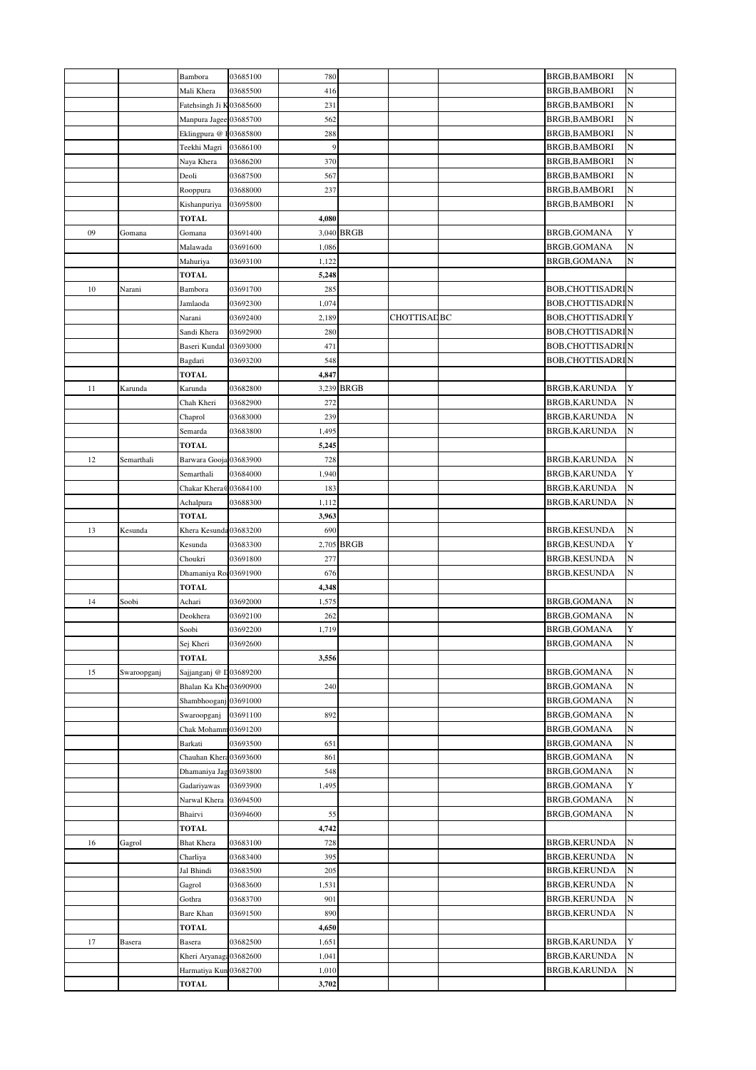|    |             | Bambora                  | 03685100 | 780   |             |                     | BRGB, BAMBORI            | N |
|----|-------------|--------------------------|----------|-------|-------------|---------------------|--------------------------|---|
|    |             | Mali Khera               | 03685500 | 416   |             |                     | <b>BRGB.BAMBORI</b>      | N |
|    |             | Fatehsingh Ji K 03685600 |          | 231   |             |                     | <b>BRGB, BAMBORI</b>     | N |
|    |             | Manpura Jagee 03685700   |          | 562   |             |                     | <b>BRGB, BAMBORI</b>     | N |
|    |             | Eklingpura @ F03685800   |          | 288   |             |                     | <b>BRGB, BAMBORI</b>     | N |
|    |             | Teekhi Magri             | 03686100 | 9     |             |                     | <b>BRGB, BAMBORI</b>     | N |
|    |             | Naya Khera               | 03686200 | 370   |             |                     | BRGB,BAMBORI             | N |
|    |             | Deoli                    | 03687500 | 567   |             |                     | BRGB,BAMBORI             | N |
|    |             | Rooppura                 | 03688000 | 237   |             |                     | BRGB, BAMBORI            | N |
|    |             | Kishanpuriya             | 03695800 |       |             |                     | <b>BRGB, BAMBORI</b>     | N |
|    |             | <b>TOTAL</b>             |          | 4,080 |             |                     |                          |   |
| 09 | Gomana      | Gomana                   | 03691400 |       | 3,040 BRGB  |                     | BRGB, GOMANA             | Y |
|    |             | Malawada                 | 03691600 | 1,086 |             |                     | BRGB, GOMANA             | N |
|    |             | Mahuriya                 | 03693100 | 1,122 |             |                     | BRGB,GOMANA              | N |
|    |             | TOTAL                    |          | 5,248 |             |                     |                          |   |
| 10 | Narani      | Bambora                  | 03691700 | 285   |             |                     | <b>BOB, CHOTTISADRIN</b> |   |
|    |             | Jamlaoda                 | 03692300 | 1,074 |             |                     | <b>BOB, CHOTTISADRIN</b> |   |
|    |             |                          |          |       |             | <b>CHOTTISAD BC</b> | <b>BOB, CHOTTISADRIY</b> |   |
|    |             | Narani                   | 03692400 | 2,189 |             |                     |                          |   |
|    |             | Sandi Khera              | 03692900 | 280   |             |                     | <b>BOB, CHOTTISADRIN</b> |   |
|    |             | Baseri Kundal            | 03693000 | 471   |             |                     | <b>BOB, CHOTTISADRIN</b> |   |
|    |             | Bagdari                  | 03693200 | 548   |             |                     | BOB,CHOTTISADRIN         |   |
|    |             | <b>TOTAL</b>             |          | 4,847 |             |                     |                          |   |
| 11 | Karunda     | Karunda                  | 03682800 |       | 3,239 BRGB  |                     | <b>BRGB,KARUNDA</b>      | Y |
|    |             | Chah Kheri               | 03682900 | 272   |             |                     | <b>BRGB, KARUNDA</b>     | N |
|    |             | Chaprol                  | 03683000 | 239   |             |                     | BRGB,KARUNDA             | N |
|    |             | Semarda                  | 03683800 | 1,495 |             |                     | <b>BRGB, KARUNDA</b>     | N |
|    |             | <b>TOTAL</b>             |          | 5,245 |             |                     |                          |   |
| 12 | Semarthali  | Barwara Gooja 03683900   |          | 728   |             |                     | BRGB, KARUNDA            | N |
|    |             | Semarthali               | 03684000 | 1,940 |             |                     | BRGB,KARUNDA             | Y |
|    |             | Chakar Khera@03684100    |          | 183   |             |                     | <b>BRGB,KARUNDA</b>      | N |
|    |             | Achalpura                | 03688300 | 1,112 |             |                     | <b>BRGB, KARUNDA</b>     | N |
|    |             | <b>TOTAL</b>             |          | 3,963 |             |                     |                          |   |
| 13 | Kesunda     | Khera Kesunda 03683200   |          | 690   |             |                     | <b>BRGB,KESUNDA</b>      | N |
|    |             | Kesunda                  | 03683300 | 2,705 | <b>BRGB</b> |                     | <b>BRGB,KESUNDA</b>      | Y |
|    |             | Choukri                  | 03691800 | 277   |             |                     | <b>BRGB,KESUNDA</b>      | N |
|    |             | Dhamaniya Ro: 03691900   |          | 676   |             |                     | BRGB,KESUNDA             | N |
|    |             | TOTAL                    |          | 4,348 |             |                     |                          |   |
| 14 | Soobi       | Achari                   | 03692000 | 1,575 |             |                     | BRGB, GOMANA             | N |
|    |             | Deokhera                 | 03692100 | 262   |             |                     | BRGB,GOMANA              | N |
|    |             | Soobi                    | 03692200 | 1,719 |             |                     | BRGB, GOMANA             | Y |
|    |             | Sej Kheri                | 03692600 |       |             |                     | <b>BRGB,GOMANA</b>       | N |
|    |             | <b>TOTAL</b>             |          | 3,556 |             |                     |                          |   |
| 15 | Swaroopganj | Sajjanganj @ D03689200   |          |       |             |                     | BRGB, GOMANA             | N |
|    |             | Bhalan Ka Khe 03690900   |          | 240   |             |                     | BRGB, GOMANA             | N |
|    |             | Shambhooganj 03691000    |          |       |             |                     | BRGB, GOMANA             | N |
|    |             | Swaroopganj              | 03691100 | 892   |             |                     | BRGB, GOMANA             | N |
|    |             | Chak Mohamm 03691200     |          |       |             |                     | BRGB, GOMANA             | N |
|    |             | Barkati                  | 03693500 | 651   |             |                     | BRGB, GOMANA             | N |
|    |             | Chauhan Khera 03693600   |          | 861   |             |                     | BRGB, GOMANA             | N |
|    |             | Dhamaniya Jag 03693800   |          | 548   |             |                     | BRGB,GOMANA              | N |
|    |             | Gadariyawas              | 03693900 | 1,495 |             |                     | BRGB,GOMANA              | Y |
|    |             | Narwal Khera             | 03694500 |       |             |                     | BRGB, GOMANA             | N |
|    |             | Bhairvi                  | 03694600 | 55    |             |                     | BRGB, GOMANA             | N |
|    |             | <b>TOTAL</b>             |          |       |             |                     |                          |   |
|    |             |                          |          | 4,742 |             |                     |                          | N |
| 16 | Gagrol      | <b>Bhat Khera</b>        | 03683100 | 728   |             |                     | <b>BRGB,KERUNDA</b>      | N |
|    |             | Charliya                 | 03683400 | 395   |             |                     | <b>BRGB, KERUNDA</b>     |   |
|    |             | Jal Bhindi               | 03683500 | 205   |             |                     | BRGB,KERUNDA             | N |
|    |             | Gagrol                   | 03683600 | 1,531 |             |                     | <b>BRGB,KERUNDA</b>      | N |
|    |             | Gothra                   | 03683700 | 901   |             |                     | <b>BRGB,KERUNDA</b>      | N |
|    |             | Bare Khan                | 03691500 | 890   |             |                     | <b>BRGB,KERUNDA</b>      | N |
|    |             | <b>TOTAL</b>             |          | 4,650 |             |                     |                          |   |
| 17 | Basera      | Basera                   | 03682500 | 1,651 |             |                     | <b>BRGB,KARUNDA</b>      | Y |
|    |             | Kheri Aryanaga03682600   |          | 1,041 |             |                     | <b>BRGB, KARUNDA</b>     | N |
|    |             | Harmatiya Kun 03682700   |          | 1,010 |             |                     | <b>BRGB,KARUNDA</b>      | N |
|    |             | TOTAL                    |          | 3,702 |             |                     |                          |   |